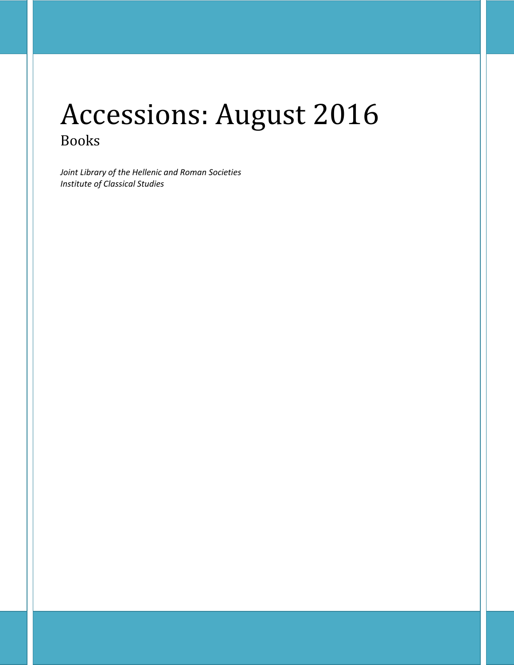# Accessions: August 2016 Books

*Joint Library of the Hellenic and Roman Societies Institute of Classical Studies*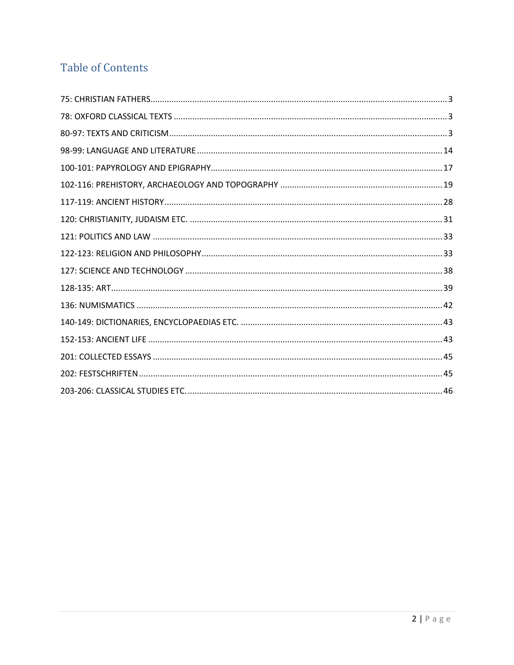## **Table of Contents**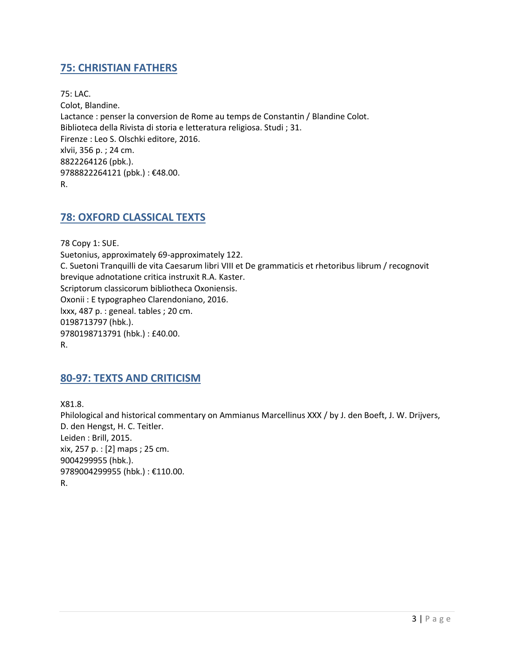## <span id="page-2-0"></span>**75: CHRISTIAN FATHERS**

75: LAC. Colot, Blandine. Lactance : penser la conversion de Rome au temps de Constantin / Blandine Colot. Biblioteca della Rivista di storia e letteratura religiosa. Studi ; 31. Firenze : Leo S. Olschki editore, 2016. xlvii, 356 p. ; 24 cm. 8822264126 (pbk.). 9788822264121 (pbk.): €48.00. R.

## <span id="page-2-1"></span>**78: OXFORD CLASSICAL TEXTS**

78 Copy 1: SUE. Suetonius, approximately 69-approximately 122. C. Suetoni Tranquilli de vita Caesarum libri VIII et De grammaticis et rhetoribus librum / recognovit brevique adnotatione critica instruxit R.A. Kaster. Scriptorum classicorum bibliotheca Oxoniensis. Oxonii : E typographeo Clarendoniano, 2016. lxxx, 487 p. : geneal. tables ; 20 cm. 0198713797 (hbk.). 9780198713791 (hbk.) : £40.00. R.

#### <span id="page-2-2"></span>**80-97: TEXTS AND CRITICISM**

X81.8. Philological and historical commentary on Ammianus Marcellinus XXX / by J. den Boeft, J. W. Drijvers, D. den Hengst, H. C. Teitler. Leiden : Brill, 2015. xix, 257 p. : [2] maps ; 25 cm. 9004299955 (hbk.). 9789004299955 (hbk.) : €110.00. R.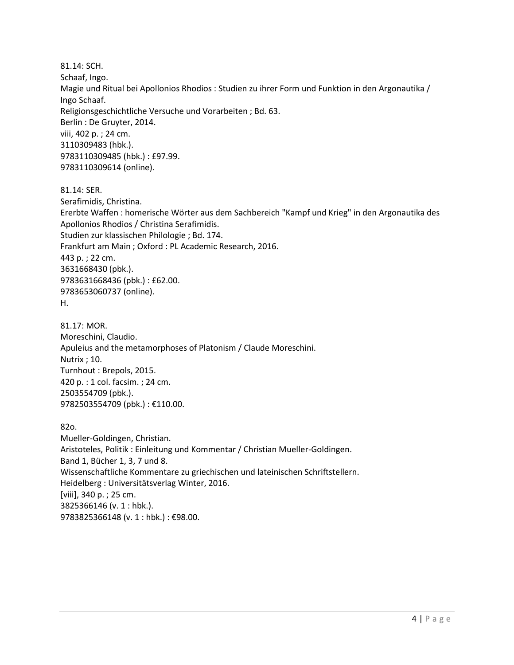81.14: SCH. Schaaf, Ingo. Magie und Ritual bei Apollonios Rhodios : Studien zu ihrer Form und Funktion in den Argonautika / Ingo Schaaf. Religionsgeschichtliche Versuche und Vorarbeiten ; Bd. 63. Berlin : De Gruyter, 2014. viii, 402 p. ; 24 cm. 3110309483 (hbk.). 9783110309485 (hbk.) : £97.99. 9783110309614 (online). 81.14: SER.

Serafimidis, Christina.

Ererbte Waffen : homerische Wörter aus dem Sachbereich "Kampf und Krieg" in den Argonautika des Apollonios Rhodios / Christina Serafimidis. Studien zur klassischen Philologie ; Bd. 174. Frankfurt am Main ; Oxford : PL Academic Research, 2016. 443 p. ; 22 cm. 3631668430 (pbk.). 9783631668436 (pbk.) : £62.00. 9783653060737 (online). H.

81.17: MOR. Moreschini, Claudio. Apuleius and the metamorphoses of Platonism / Claude Moreschini. Nutrix ; 10. Turnhout : Brepols, 2015. 420 p. : 1 col. facsim. ; 24 cm. 2503554709 (pbk.). 9782503554709 (pbk.) : €110.00.

82o.

Mueller-Goldingen, Christian. Aristoteles, Politik : Einleitung und Kommentar / Christian Mueller-Goldingen. Band 1, Bücher 1, 3, 7 und 8. Wissenschaftliche Kommentare zu griechischen und lateinischen Schriftstellern. Heidelberg : Universitätsverlag Winter, 2016. [viii], 340 p. ; 25 cm. 3825366146 (v. 1 : hbk.). 9783825366148 (v. 1 : hbk.) : €98.00.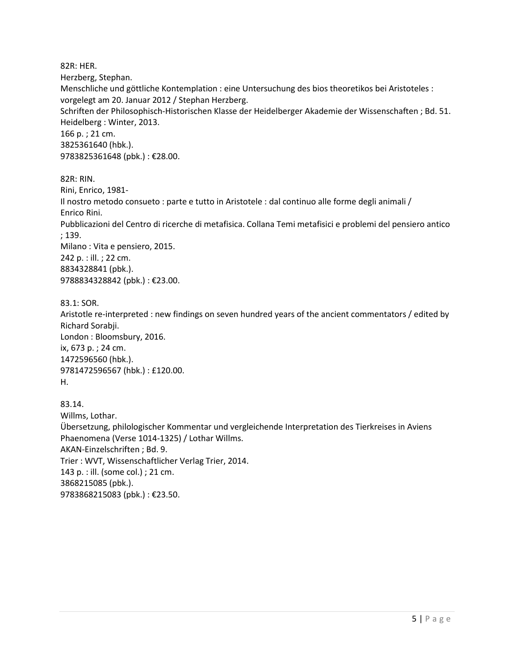82R: HER. Herzberg, Stephan. Menschliche und göttliche Kontemplation : eine Untersuchung des bios theoretikos bei Aristoteles : vorgelegt am 20. Januar 2012 / Stephan Herzberg. Schriften der Philosophisch-Historischen Klasse der Heidelberger Akademie der Wissenschaften ; Bd. 51. Heidelberg : Winter, 2013. 166 p. ; 21 cm. 3825361640 (hbk.). 9783825361648 (pbk.) : €28.00.

82R: RIN.

Rini, Enrico, 1981- Il nostro metodo consueto : parte e tutto in Aristotele : dal continuo alle forme degli animali / Enrico Rini. Pubblicazioni del Centro di ricerche di metafisica. Collana Temi metafisici e problemi del pensiero antico ; 139. Milano : Vita e pensiero, 2015. 242 p. : ill. ; 22 cm. 8834328841 (pbk.). 9788834328842 (pbk.) : €23.00.

83.1: SOR. Aristotle re-interpreted : new findings on seven hundred years of the ancient commentators / edited by Richard Sorabji. London : Bloomsbury, 2016. ix, 673 p. ; 24 cm. 1472596560 (hbk.). 9781472596567 (hbk.) : £120.00. H.

83.14. Willms, Lothar. Übersetzung, philologischer Kommentar und vergleichende Interpretation des Tierkreises in Aviens Phaenomena (Verse 1014-1325) / Lothar Willms. AKAN-Einzelschriften ; Bd. 9. Trier : WVT, Wissenschaftlicher Verlag Trier, 2014. 143 p. : ill. (some col.) ; 21 cm. 3868215085 (pbk.). 9783868215083 (pbk.) : €23.50.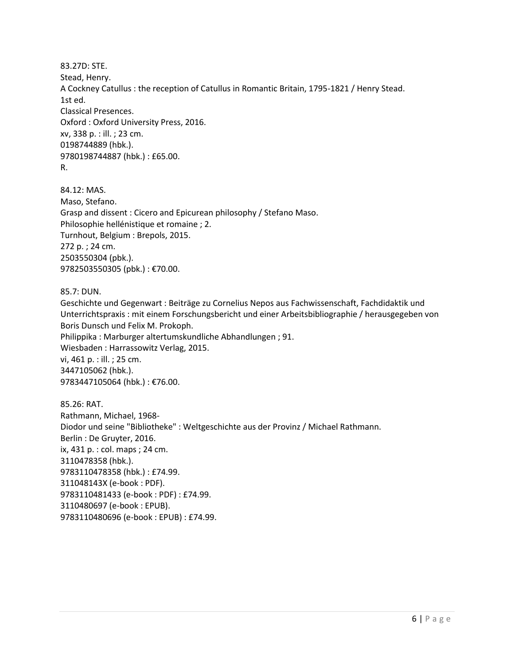83.27D: STE. Stead, Henry. A Cockney Catullus : the reception of Catullus in Romantic Britain, 1795-1821 / Henry Stead. 1st ed. Classical Presences. Oxford : Oxford University Press, 2016. xv, 338 p. : ill. ; 23 cm. 0198744889 (hbk.). 9780198744887 (hbk.) : £65.00.

R.

84.12: MAS. Maso, Stefano. Grasp and dissent : Cicero and Epicurean philosophy / Stefano Maso. Philosophie hellénistique et romaine ; 2. Turnhout, Belgium : Brepols, 2015. 272 p. ; 24 cm. 2503550304 (pbk.). 9782503550305 (pbk.) : €70.00.

85.7: DUN.

Geschichte und Gegenwart : Beiträge zu Cornelius Nepos aus Fachwissenschaft, Fachdidaktik und Unterrichtspraxis : mit einem Forschungsbericht und einer Arbeitsbibliographie / herausgegeben von Boris Dunsch und Felix M. Prokoph. Philippika : Marburger altertumskundliche Abhandlungen ; 91. Wiesbaden : Harrassowitz Verlag, 2015. vi, 461 p. : ill. ; 25 cm. 3447105062 (hbk.). 9783447105064 (hbk.) : €76.00.

85.26: RAT. Rathmann, Michael, 1968- Diodor und seine "Bibliotheke" : Weltgeschichte aus der Provinz / Michael Rathmann. Berlin : De Gruyter, 2016. ix, 431 p. : col. maps ; 24 cm. 3110478358 (hbk.). 9783110478358 (hbk.) : £74.99. 311048143X (e-book : PDF). 9783110481433 (e-book : PDF) : £74.99. 3110480697 (e-book : EPUB). 9783110480696 (e-book : EPUB) : £74.99.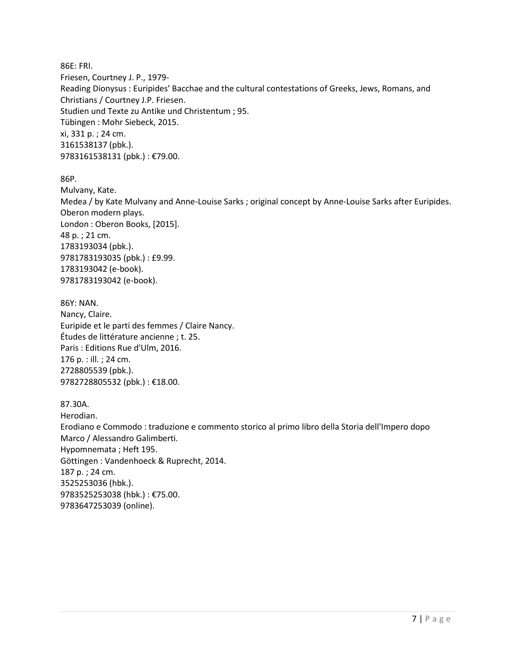86E: FRI. Friesen, Courtney J. P., 1979- Reading Dionysus : Euripides' Bacchae and the cultural contestations of Greeks, Jews, Romans, and Christians / Courtney J.P. Friesen. Studien und Texte zu Antike und Christentum ; 95. Tübingen : Mohr Siebeck, 2015. xi, 331 p. ; 24 cm. 3161538137 (pbk.). 9783161538131 (pbk.) : €79.00.

86P.

Mulvany, Kate. Medea / by Kate Mulvany and Anne-Louise Sarks ; original concept by Anne-Louise Sarks after Euripides. Oberon modern plays. London : Oberon Books, [2015]. 48 p. ; 21 cm. 1783193034 (pbk.). 9781783193035 (pbk.) : £9.99. 1783193042 (e-book). 9781783193042 (e-book).

86Y: NAN. Nancy, Claire. Euripide et le parti des femmes / Claire Nancy. Études de littérature ancienne ; t. 25. Paris : Editions Rue d'Ulm, 2016. 176 p. : ill. ; 24 cm. 2728805539 (pbk.). 9782728805532 (pbk.) : €18.00.

87.30A. Herodian. Erodiano e Commodo : traduzione e commento storico al primo libro della Storia dell'Impero dopo Marco / Alessandro Galimberti. Hypomnemata ; Heft 195. Göttingen : Vandenhoeck & Ruprecht, 2014. 187 p. ; 24 cm. 3525253036 (hbk.). 9783525253038 (hbk.) : €75.00. 9783647253039 (online).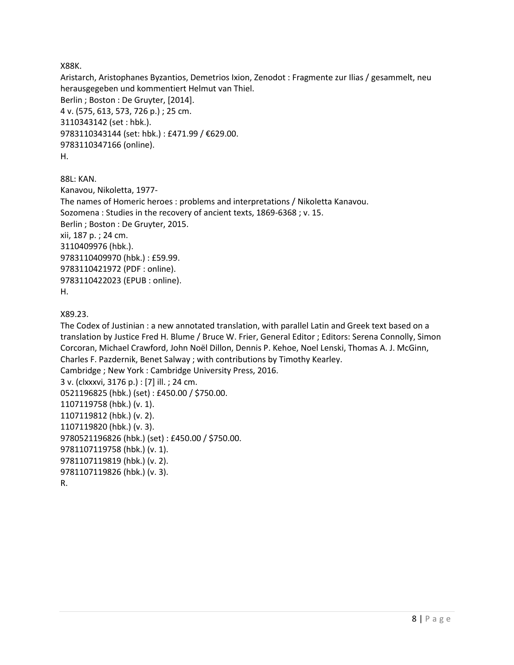X88K.

Aristarch, Aristophanes Byzantios, Demetrios Ixion, Zenodot : Fragmente zur Ilias / gesammelt, neu herausgegeben und kommentiert Helmut van Thiel. Berlin ; Boston : De Gruyter, [2014]. 4 v. (575, 613, 573, 726 p.) ; 25 cm. 3110343142 (set : hbk.). 9783110343144 (set: hbk.) : £471.99 / €629.00. 9783110347166 (online). H.

88L: KAN. Kanavou, Nikoletta, 1977- The names of Homeric heroes : problems and interpretations / Nikoletta Kanavou. Sozomena : Studies in the recovery of ancient texts, 1869-6368 ; v. 15. Berlin ; Boston : De Gruyter, 2015. xii, 187 p. ; 24 cm. 3110409976 (hbk.). 9783110409970 (hbk.) : £59.99. 9783110421972 (PDF : online). 9783110422023 (EPUB : online). H.

X89.23.

The Codex of Justinian : a new annotated translation, with parallel Latin and Greek text based on a translation by Justice Fred H. Blume / Bruce W. Frier, General Editor ; Editors: Serena Connolly, Simon Corcoran, Michael Crawford, John Noël Dillon, Dennis P. Kehoe, Noel Lenski, Thomas A. J. McGinn, Charles F. Pazdernik, Benet Salway ; with contributions by Timothy Kearley. Cambridge ; New York : Cambridge University Press, 2016. 3 v. (clxxxvi, 3176 p.) : [7] ill. ; 24 cm. 0521196825 (hbk.) (set) : £450.00 / \$750.00. 1107119758 (hbk.) (v. 1). 1107119812 (hbk.) (v. 2). 1107119820 (hbk.) (v. 3). 9780521196826 (hbk.) (set) : £450.00 / \$750.00. 9781107119758 (hbk.) (v. 1). 9781107119819 (hbk.) (v. 2). 9781107119826 (hbk.) (v. 3). R.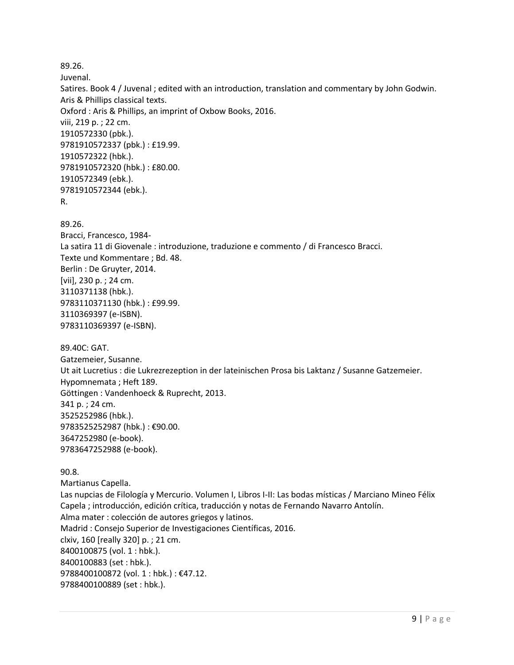89.26. Juvenal. Satires. Book 4 / Juvenal ; edited with an introduction, translation and commentary by John Godwin. Aris & Phillips classical texts. Oxford : Aris & Phillips, an imprint of Oxbow Books, 2016. viii, 219 p. ; 22 cm. 1910572330 (pbk.). 9781910572337 (pbk.) : £19.99. 1910572322 (hbk.). 9781910572320 (hbk.) : £80.00. 1910572349 (ebk.). 9781910572344 (ebk.). R. 89.26. Bracci, Francesco, 1984- La satira 11 di Giovenale : introduzione, traduzione e commento / di Francesco Bracci. Texte und Kommentare ; Bd. 48. Berlin : De Gruyter, 2014. [vii], 230 p. ; 24 cm. 3110371138 (hbk.). 9783110371130 (hbk.) : £99.99. 3110369397 (e-ISBN). 9783110369397 (e-ISBN). 89.40C: GAT. Gatzemeier, Susanne. Ut ait Lucretius : die Lukrezrezeption in der lateinischen Prosa bis Laktanz / Susanne Gatzemeier. Hypomnemata ; Heft 189. Göttingen : Vandenhoeck & Ruprecht, 2013. 341 p. ; 24 cm. 3525252986 (hbk.). 9783525252987 (hbk.) : €90.00. 3647252980 (e-book). 9783647252988 (e-book).

90.8. Martianus Capella. Las nupcias de Filología y Mercurio. Volumen I, Libros I-II: Las bodas místicas / Marciano Mineo Félix Capela ; introducción, edición crítica, traducción y notas de Fernando Navarro Antolín. Alma mater : colección de autores griegos y latinos. Madrid : Consejo Superior de Investigaciones Científicas, 2016. clxiv, 160 [really 320] p. ; 21 cm. 8400100875 (vol. 1 : hbk.). 8400100883 (set : hbk.). 9788400100872 (vol. 1 : hbk.) : €47.12. 9788400100889 (set : hbk.).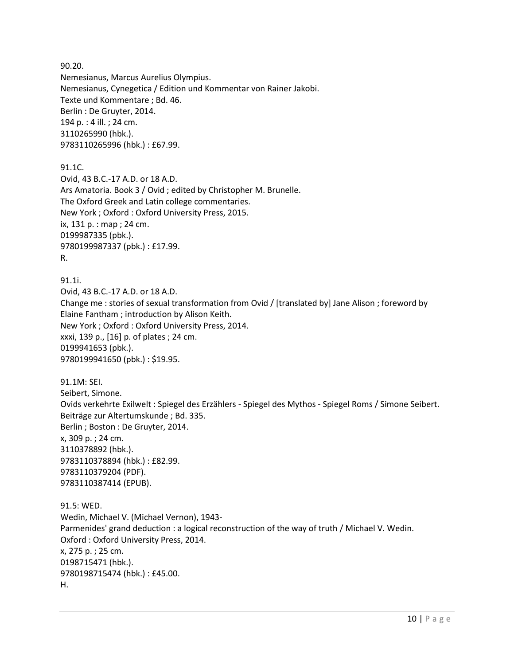90.20. Nemesianus, Marcus Aurelius Olympius. Nemesianus, Cynegetica / Edition und Kommentar von Rainer Jakobi. Texte und Kommentare ; Bd. 46. Berlin : De Gruyter, 2014. 194 p. : 4 ill. ; 24 cm. 3110265990 (hbk.). 9783110265996 (hbk.) : £67.99.

91.1C.

Ovid, 43 B.C.-17 A.D. or 18 A.D. Ars Amatoria. Book 3 / Ovid ; edited by Christopher M. Brunelle. The Oxford Greek and Latin college commentaries. New York ; Oxford : Oxford University Press, 2015. ix, 131 p. : map ; 24 cm. 0199987335 (pbk.). 9780199987337 (pbk.) : £17.99. R.

91.1i.

Ovid, 43 B.C.-17 A.D. or 18 A.D. Change me : stories of sexual transformation from Ovid / [translated by] Jane Alison ; foreword by Elaine Fantham ; introduction by Alison Keith. New York ; Oxford : Oxford University Press, 2014. xxxi, 139 p., [16] p. of plates ; 24 cm. 0199941653 (pbk.). 9780199941650 (pbk.) : \$19.95.

91.1M: SEI. Seibert, Simone. Ovids verkehrte Exilwelt : Spiegel des Erzählers - Spiegel des Mythos - Spiegel Roms / Simone Seibert. Beiträge zur Altertumskunde ; Bd. 335. Berlin ; Boston : De Gruyter, 2014. x, 309 p. ; 24 cm. 3110378892 (hbk.). 9783110378894 (hbk.) : £82.99. 9783110379204 (PDF). 9783110387414 (EPUB).

91.5: WED. Wedin, Michael V. (Michael Vernon), 1943- Parmenides' grand deduction : a logical reconstruction of the way of truth / Michael V. Wedin. Oxford : Oxford University Press, 2014. x, 275 p. ; 25 cm. 0198715471 (hbk.). 9780198715474 (hbk.) : £45.00. H.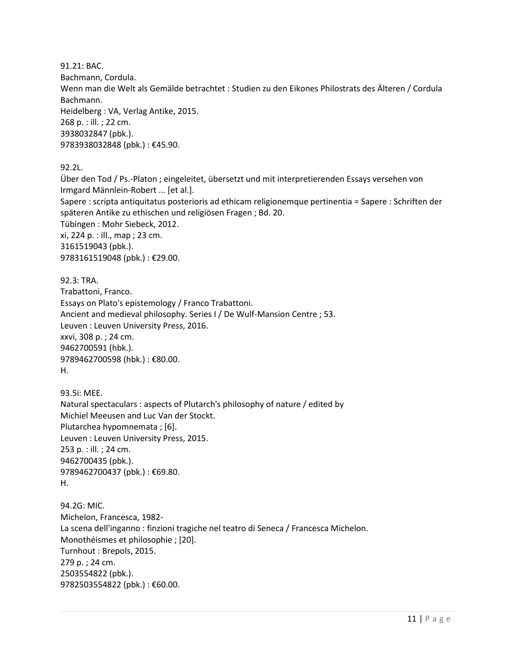91.21: BAC. Bachmann, Cordula. Wenn man die Welt als Gemälde betrachtet : Studien zu den Eikones Philostrats des Älteren / Cordula Bachmann. Heidelberg : VA, Verlag Antike, 2015. 268 p. : ill. ; 22 cm. 3938032847 (pbk.). 9783938032848 (pbk.) : €45.90.

92.2L.

Über den Tod / Ps.-Platon ; eingeleitet, übersetzt und mit interpretierenden Essays versehen von Irmgard Männlein-Robert ... [et al.]. Sapere : scripta antiquitatus posterioris ad ethicam religionemque pertinentia = Sapere : Schriften der späteren Antike zu ethischen und religiösen Fragen ; Bd. 20. Tübingen : Mohr Siebeck, 2012. xi, 224 p. : ill., map ; 23 cm. 3161519043 (pbk.). 9783161519048 (pbk.) : €29.00.

92.3: TRA. Trabattoni, Franco. Essays on Plato's epistemology / Franco Trabattoni. Ancient and medieval philosophy. Series I / De Wulf-Mansion Centre ; 53. Leuven : Leuven University Press, 2016. xxvi, 308 p. ; 24 cm. 9462700591 (hbk.). 9789462700598 (hbk.) : €80.00. H.

93.5i: MEE. Natural spectaculars : aspects of Plutarch's philosophy of nature / edited by Michiel Meeusen and Luc Van der Stockt. Plutarchea hypomnemata ; [6]. Leuven : Leuven University Press, 2015. 253 p. : ill. ; 24 cm. 9462700435 (pbk.). 9789462700437 (pbk.): €69.80. H.

94.2G: MIC. Michelon, Francesca, 1982- La scena dell'inganno : finzioni tragiche nel teatro di Seneca / Francesca Michelon. Monothéismes et philosophie ; [20]. Turnhout : Brepols, 2015. 279 p. ; 24 cm. 2503554822 (pbk.). 9782503554822 (pbk.) : €60.00.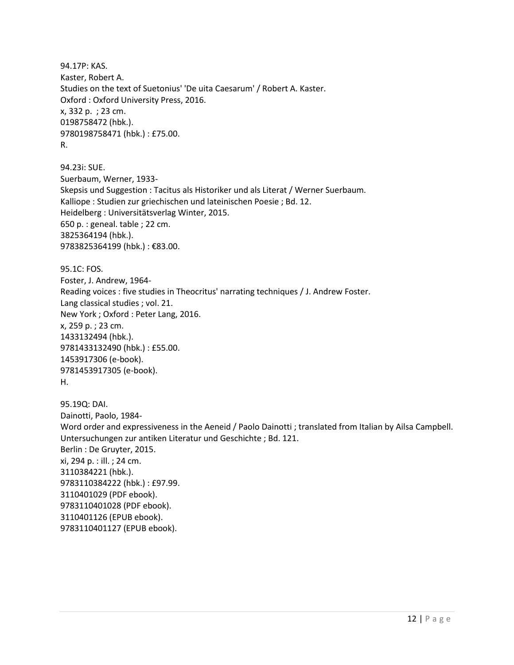94.17P: KAS. Kaster, Robert A. Studies on the text of Suetonius' 'De uita Caesarum' / Robert A. Kaster. Oxford : Oxford University Press, 2016. x, 332 p. ; 23 cm. 0198758472 (hbk.). 9780198758471 (hbk.) : £75.00. R.

94.23i: SUE. Suerbaum, Werner, 1933- Skepsis und Suggestion : Tacitus als Historiker und als Literat / Werner Suerbaum. Kalliope : Studien zur griechischen und lateinischen Poesie ; Bd. 12. Heidelberg : Universitätsverlag Winter, 2015. 650 p. : geneal. table ; 22 cm. 3825364194 (hbk.). 9783825364199 (hbk.) : €83.00.

95.1C: FOS. Foster, J. Andrew, 1964- Reading voices : five studies in Theocritus' narrating techniques / J. Andrew Foster. Lang classical studies ; vol. 21. New York ; Oxford : Peter Lang, 2016. x, 259 p. ; 23 cm. 1433132494 (hbk.). 9781433132490 (hbk.) : £55.00. 1453917306 (e-book). 9781453917305 (e-book). H.

95.19Q: DAI. Dainotti, Paolo, 1984- Word order and expressiveness in the Aeneid / Paolo Dainotti ; translated from Italian by Ailsa Campbell. Untersuchungen zur antiken Literatur und Geschichte ; Bd. 121. Berlin : De Gruyter, 2015. xi, 294 p. : ill. ; 24 cm. 3110384221 (hbk.). 9783110384222 (hbk.) : £97.99. 3110401029 (PDF ebook). 9783110401028 (PDF ebook). 3110401126 (EPUB ebook). 9783110401127 (EPUB ebook).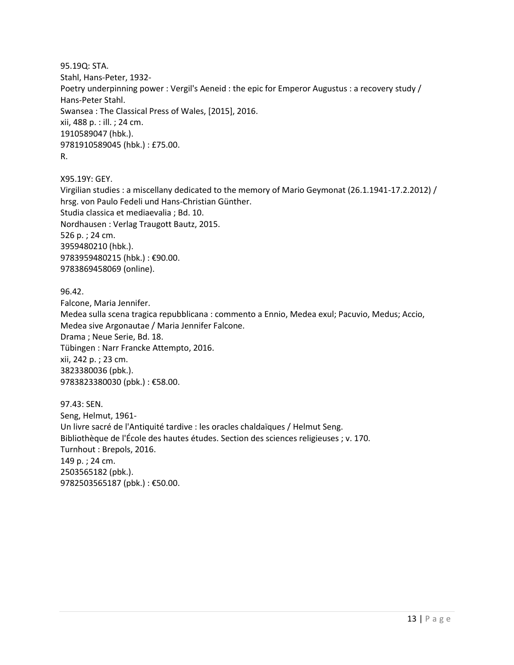95.19Q: STA. Stahl, Hans-Peter, 1932- Poetry underpinning power : Vergil's Aeneid : the epic for Emperor Augustus : a recovery study / Hans-Peter Stahl. Swansea : The Classical Press of Wales, [2015], 2016. xii, 488 p. : ill. ; 24 cm. 1910589047 (hbk.). 9781910589045 (hbk.) : £75.00. R.

X95.19Y: GEY.

Virgilian studies : a miscellany dedicated to the memory of Mario Geymonat (26.1.1941-17.2.2012) / hrsg. von Paulo Fedeli und Hans-Christian Günther. Studia classica et mediaevalia ; Bd. 10. Nordhausen : Verlag Traugott Bautz, 2015. 526 p. ; 24 cm. 3959480210 (hbk.). 9783959480215 (hbk.) : €90.00. 9783869458069 (online).

96.42. Falcone, Maria Jennifer. Medea sulla scena tragica repubblicana : commento a Ennio, Medea exul; Pacuvio, Medus; Accio, Medea sive Argonautae / Maria Jennifer Falcone. Drama ; Neue Serie, Bd. 18. Tübingen : Narr Francke Attempto, 2016. xii, 242 p. ; 23 cm. 3823380036 (pbk.). 9783823380030 (pbk.) : €58.00.

97.43: SEN. Seng, Helmut, 1961- Un livre sacré de l'Antiquité tardive : les oracles chaldaïques / Helmut Seng. Bibliothèque de l'École des hautes études. Section des sciences religieuses ; v. 170. Turnhout : Brepols, 2016. 149 p. ; 24 cm. 2503565182 (pbk.). 9782503565187 (pbk.) : €50.00.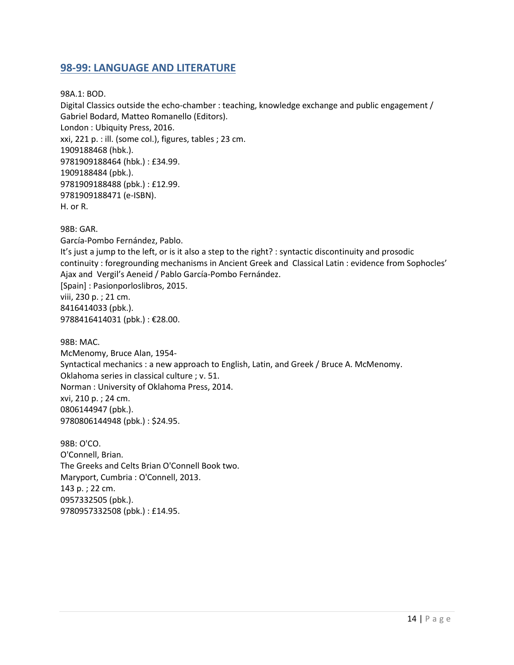#### <span id="page-13-0"></span>**98-99: LANGUAGE AND LITERATURE**

98A.1: BOD.

Digital Classics outside the echo-chamber : teaching, knowledge exchange and public engagement / Gabriel Bodard, Matteo Romanello (Editors). London : Ubiquity Press, 2016. xxi, 221 p. : ill. (some col.), figures, tables ; 23 cm. 1909188468 (hbk.). 9781909188464 (hbk.) : £34.99. 1909188484 (pbk.). 9781909188488 (pbk.) : £12.99. 9781909188471 (e-ISBN). H. or R.

98B: GAR. García-Pombo Fernández, Pablo. It's just a jump to the left, or is it also a step to the right? : syntactic discontinuity and prosodic continuity : foregrounding mechanisms in Ancient Greek and Classical Latin : evidence from Sophocles' Ajax and Vergil's Aeneid / Pablo García-Pombo Fernández. [Spain] : Pasionporloslibros, 2015. viii, 230 p. ; 21 cm. 8416414033 (pbk.). 9788416414031 (pbk.) : €28.00. 98B: MAC.

McMenomy, Bruce Alan, 1954- Syntactical mechanics : a new approach to English, Latin, and Greek / Bruce A. McMenomy. Oklahoma series in classical culture ; v. 51. Norman : University of Oklahoma Press, 2014. xvi, 210 p. ; 24 cm. 0806144947 (pbk.). 9780806144948 (pbk.) : \$24.95.

98B: O'CO. O'Connell, Brian. The Greeks and Celts Brian O'Connell Book two. Maryport, Cumbria : O'Connell, 2013. 143 p. ; 22 cm. 0957332505 (pbk.). 9780957332508 (pbk.) : £14.95.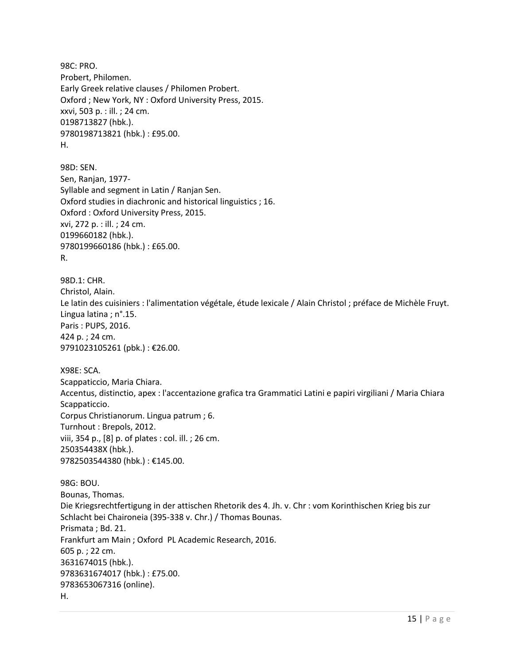98C: PRO. Probert, Philomen. Early Greek relative clauses / Philomen Probert. Oxford ; New York, NY : Oxford University Press, 2015. xxvi, 503 p. : ill. ; 24 cm. 0198713827 (hbk.). 9780198713821 (hbk.) : £95.00. H.

98D: SEN. Sen, Ranjan, 1977- Syllable and segment in Latin / Ranjan Sen. Oxford studies in diachronic and historical linguistics ; 16. Oxford : Oxford University Press, 2015. xvi, 272 p. : ill. ; 24 cm. 0199660182 (hbk.). 9780199660186 (hbk.) : £65.00. R.

98D.1: CHR. Christol, Alain. Le latin des cuisiniers : l'alimentation végétale, étude lexicale / Alain Christol ; préface de Michèle Fruyt. Lingua latina ; n°.15. Paris : PUPS, 2016. 424 p. ; 24 cm. 9791023105261 (pbk.) : €26.00.

X98E: SCA. Scappaticcio, Maria Chiara. Accentus, distinctio, apex : l'accentazione grafica tra Grammatici Latini e papiri virgiliani / Maria Chiara Scappaticcio. Corpus Christianorum. Lingua patrum ; 6. Turnhout : Brepols, 2012. viii, 354 p., [8] p. of plates : col. ill. ; 26 cm. 250354438X (hbk.). 9782503544380 (hbk.) : €145.00.

98G: BOU. Bounas, Thomas. Die Kriegsrechtfertigung in der attischen Rhetorik des 4. Jh. v. Chr : vom Korinthischen Krieg bis zur Schlacht bei Chaironeia (395-338 v. Chr.) / Thomas Bounas. Prismata ; Bd. 21. Frankfurt am Main ; Oxford PL Academic Research, 2016. 605 p. ; 22 cm. 3631674015 (hbk.). 9783631674017 (hbk.) : £75.00. 9783653067316 (online). H.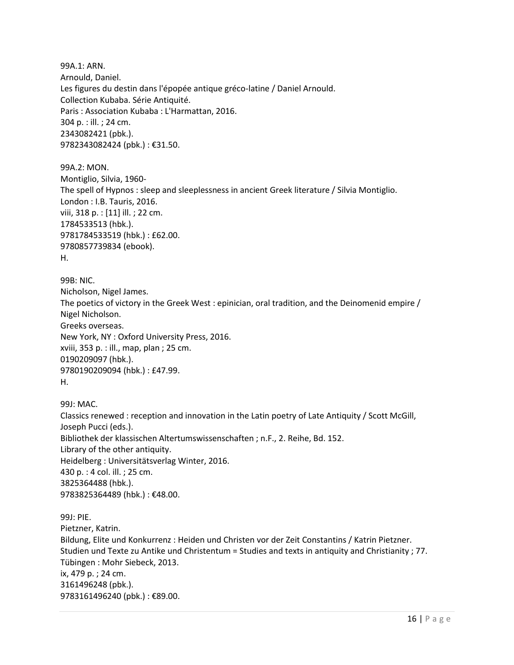99A.1: ARN. Arnould, Daniel. Les figures du destin dans l'épopée antique gréco-latine / Daniel Arnould. Collection Kubaba. Série Antiquité. Paris : Association Kubaba : L'Harmattan, 2016. 304 p. : ill. ; 24 cm. 2343082421 (pbk.). 9782343082424 (pbk.) : €31.50.

99A.2: MON. Montiglio, Silvia, 1960- The spell of Hypnos : sleep and sleeplessness in ancient Greek literature / Silvia Montiglio. London : I.B. Tauris, 2016. viii, 318 p. : [11] ill. ; 22 cm. 1784533513 (hbk.). 9781784533519 (hbk.) : £62.00. 9780857739834 (ebook). H.

99B: NIC. Nicholson, Nigel James. The poetics of victory in the Greek West : epinician, oral tradition, and the Deinomenid empire / Nigel Nicholson. Greeks overseas. New York, NY : Oxford University Press, 2016. xviii, 353 p. : ill., map, plan ; 25 cm. 0190209097 (hbk.). 9780190209094 (hbk.) : £47.99. H.

99J: MAC. Classics renewed : reception and innovation in the Latin poetry of Late Antiquity / Scott McGill, Joseph Pucci (eds.). Bibliothek der klassischen Altertumswissenschaften ; n.F., 2. Reihe, Bd. 152. Library of the other antiquity. Heidelberg : Universitätsverlag Winter, 2016. 430 p. : 4 col. ill. ; 25 cm. 3825364488 (hbk.). 9783825364489 (hbk.) : €48.00.

99J: PIE. Pietzner, Katrin. Bildung, Elite und Konkurrenz : Heiden und Christen vor der Zeit Constantins / Katrin Pietzner. Studien und Texte zu Antike und Christentum = Studies and texts in antiquity and Christianity ; 77. Tübingen : Mohr Siebeck, 2013. ix, 479 p. ; 24 cm. 3161496248 (pbk.). 9783161496240 (pbk.): €89.00.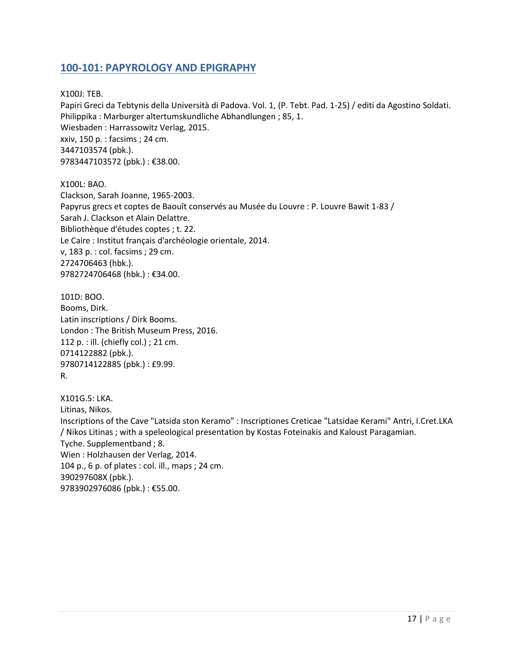#### <span id="page-16-0"></span>**100-101: PAPYROLOGY AND EPIGRAPHY**

X100J: TEB.

Papiri Greci da Tebtynis della Università di Padova. Vol. 1, (P. Tebt. Pad. 1-25) / editi da Agostino Soldati. Philippika : Marburger altertumskundliche Abhandlungen ; 85, 1. Wiesbaden : Harrassowitz Verlag, 2015. xxiv, 150 p. : facsims ; 24 cm. 3447103574 (pbk.). 9783447103572 (pbk.): €38.00.

X100L: BAO. Clackson, Sarah Joanne, 1965-2003. Papyrus grecs et coptes de Baouît conservés au Musée du Louvre : P. Louvre Bawit 1-83 / Sarah J. Clackson et Alain Delattre. Bibliothèque d'études coptes ; t. 22. Le Caire : Institut français d'archéologie orientale, 2014. v, 183 p. : col. facsims ; 29 cm. 2724706463 (hbk.). 9782724706468 (hbk.) : €34.00.

101D: BOO. Booms, Dirk. Latin inscriptions / Dirk Booms. London : The British Museum Press, 2016. 112 p. : ill. (chiefly col.) ; 21 cm. 0714122882 (pbk.). 9780714122885 (pbk.) : £9.99. R.

X101G.5: LKA. Litinas, Nikos. Inscriptions of the Cave "Latsida ston Keramo" : Inscriptiones Creticae "Latsidae Kerami" Antri, I.Cret.LKA / Nikos Litinas ; with a speleological presentation by Kostas Foteinakis and Kaloust Paragamian. Tyche. Supplementband ; 8. Wien : Holzhausen der Verlag, 2014. 104 p., 6 p. of plates : col. ill., maps ; 24 cm. 390297608X (pbk.). 9783902976086 (pbk.) : €55.00.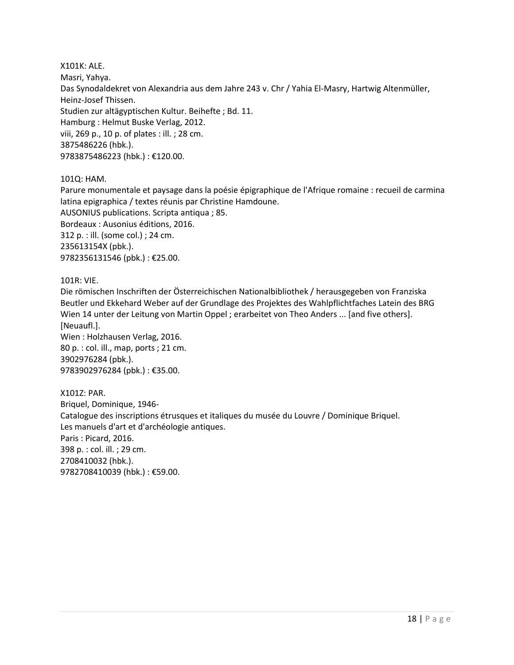X101K: ALE. Masri, Yahya. Das Synodaldekret von Alexandria aus dem Jahre 243 v. Chr / Yahia El-Masry, Hartwig Altenmüller, Heinz-Josef Thissen. Studien zur altägyptischen Kultur. Beihefte ; Bd. 11. Hamburg : Helmut Buske Verlag, 2012. viii, 269 p., 10 p. of plates : ill. ; 28 cm. 3875486226 (hbk.). 9783875486223 (hbk.) : €120.00.

101Q: HAM.

Parure monumentale et paysage dans la poésie épigraphique de l'Afrique romaine : recueil de carmina latina epigraphica / textes réunis par Christine Hamdoune. AUSONIUS publications. Scripta antiqua ; 85. Bordeaux : Ausonius éditions, 2016. 312 p. : ill. (some col.) ; 24 cm. 235613154X (pbk.). 9782356131546 (pbk.) : €25.00.

101R: VIE.

Die römischen Inschriften der Österreichischen Nationalbibliothek / herausgegeben von Franziska Beutler und Ekkehard Weber auf der Grundlage des Projektes des Wahlpflichtfaches Latein des BRG Wien 14 unter der Leitung von Martin Oppel ; erarbeitet von Theo Anders ... [and five others]. [Neuaufl.]. Wien : Holzhausen Verlag, 2016.

80 p. : col. ill., map, ports ; 21 cm. 3902976284 (pbk.). 9783902976284 (pbk.) : €35.00.

X101Z: PAR. Briquel, Dominique, 1946- Catalogue des inscriptions étrusques et italiques du musée du Louvre / Dominique Briquel. Les manuels d'art et d'archéologie antiques. Paris : Picard, 2016. 398 p. : col. ill. ; 29 cm. 2708410032 (hbk.). 9782708410039 (hbk.) : €59.00.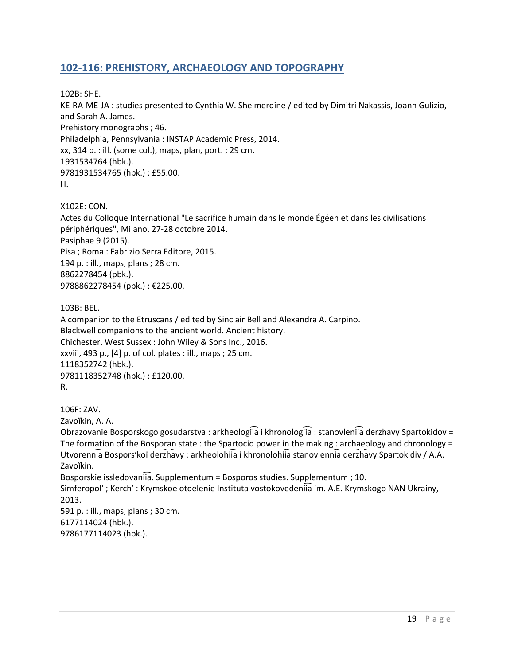## <span id="page-18-0"></span>**102-116: PREHISTORY, ARCHAEOLOGY AND TOPOGRAPHY**

102B: SHE. KE-RA-ME-JA : studies presented to Cynthia W. Shelmerdine / edited by Dimitri Nakassis, Joann Gulizio, and Sarah A. James. Prehistory monographs ; 46. Philadelphia, Pennsylvania : INSTAP Academic Press, 2014. xx, 314 p. : ill. (some col.), maps, plan, port. ; 29 cm. 1931534764 (hbk.). 9781931534765 (hbk.) : £55.00. H.

X102E: CON. Actes du Colloque International "Le sacrifice humain dans le monde Égéen et dans les civilisations périphériques", Milano, 27-28 octobre 2014. Pasiphae 9 (2015). Pisa ; Roma : Fabrizio Serra Editore, 2015. 194 p. : ill., maps, plans ; 28 cm. 8862278454 (pbk.). 9788862278454 (pbk.): €225.00.

103B: BEL.

A companion to the Etruscans / edited by Sinclair Bell and Alexandra A. Carpino. Blackwell companions to the ancient world. Ancient history. Chichester, West Sussex : John Wiley & Sons Inc., 2016. xxviii, 493 p., [4] p. of col. plates : ill., maps ; 25 cm. 1118352742 (hbk.). 9781118352748 (hbk.) : £120.00. R.

106F: ZAV.

Zavoĭkin, A. A.

Obrazovanie Bosporskogo gosudarstva : arkheologiia i khronologiia : stanovleniia derzhavy Spartokidov = The formation of the Bosporan state : the Spartocid power in the making : archaeology and chronology = Utvorennia Bospors'koï derzhavy : arkheolohiia i khronolohiia stanovlennia derzhavy Spartokidiv / A.A. Zavoĭkin. Bosporskie issledovaniia. Supplementum = Bosporos studies. Supplementum ; 10. Simferopol'; Kerch': Krymskoe otdelenie Instituta vostokovedeniia im. A.E. Krymskogo NAN Ukrainy, 2013. 591 p. : ill., maps, plans ; 30 cm.

6177114024 (hbk.). 9786177114023 (hbk.).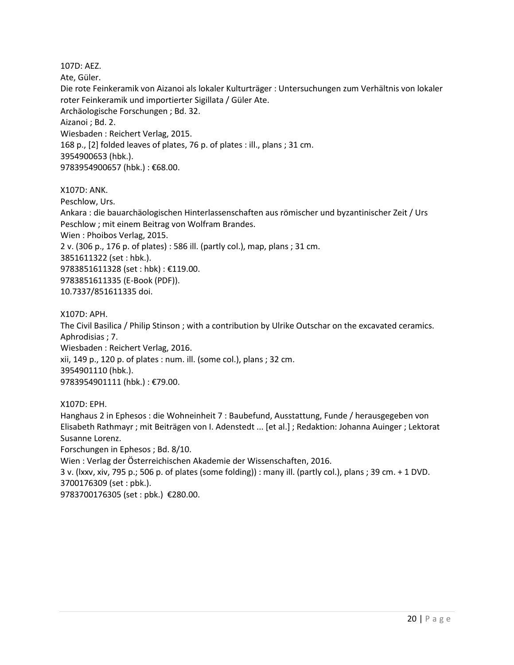107D: AEZ. Ate, Güler. Die rote Feinkeramik von Aizanoi als lokaler Kulturträger : Untersuchungen zum Verhältnis von lokaler roter Feinkeramik und importierter Sigillata / Güler Ate. Archäologische Forschungen ; Bd. 32. Aizanoi ; Bd. 2. Wiesbaden : Reichert Verlag, 2015. 168 p., [2] folded leaves of plates, 76 p. of plates : ill., plans ; 31 cm. 3954900653 (hbk.). 9783954900657 (hbk.) : €68.00.

X107D: ANK.

Peschlow, Urs.

Ankara : die bauarchäologischen Hinterlassenschaften aus römischer und byzantinischer Zeit / Urs Peschlow ; mit einem Beitrag von Wolfram Brandes.

Wien : Phoibos Verlag, 2015.

2 v. (306 p., 176 p. of plates) : 586 ill. (partly col.), map, plans ; 31 cm.

3851611322 (set : hbk.).

9783851611328 (set : hbk) : €119.00. 9783851611335 (E-Book (PDF)).

10.7337/851611335 doi.

X107D: APH.

The Civil Basilica / Philip Stinson ; with a contribution by Ulrike Outschar on the excavated ceramics. Aphrodisias ; 7. Wiesbaden : Reichert Verlag, 2016. xii, 149 p., 120 p. of plates : num. ill. (some col.), plans ; 32 cm. 3954901110 (hbk.). 9783954901111 (hbk.) : €79.00.

X107D: EPH.

Hanghaus 2 in Ephesos : die Wohneinheit 7 : Baubefund, Ausstattung, Funde / herausgegeben von Elisabeth Rathmayr ; mit Beiträgen von I. Adenstedt ... [et al.] ; Redaktion: Johanna Auinger ; Lektorat Susanne Lorenz. Forschungen in Ephesos ; Bd. 8/10.

Wien : Verlag der Österreichischen Akademie der Wissenschaften, 2016.

3 v. (lxxv, xiv, 795 p.; 506 p. of plates (some folding)) : many ill. (partly col.), plans ; 39 cm. + 1 DVD. 3700176309 (set : pbk.).

9783700176305 (set : pbk.) €280.00.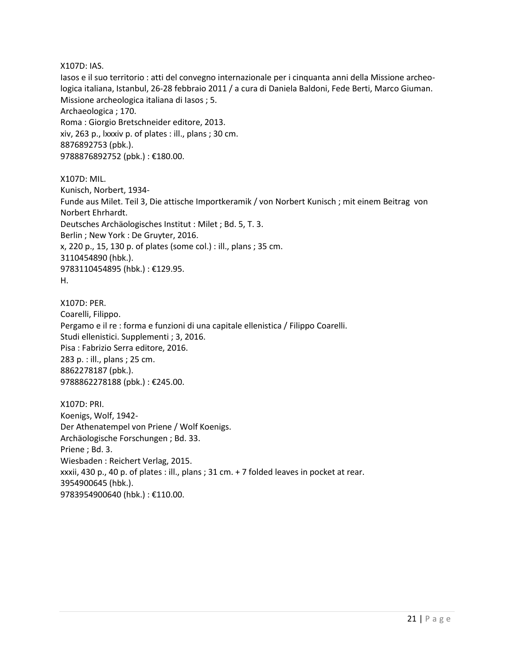X107D: IAS. Iasos e il suo territorio : atti del convegno internazionale per i cinquanta anni della Missione archeologica italiana, Istanbul, 26-28 febbraio 2011 / a cura di Daniela Baldoni, Fede Berti, Marco Giuman. Missione archeologica italiana di Iasos ; 5. Archaeologica ; 170. Roma : Giorgio Bretschneider editore, 2013. xiv, 263 p., lxxxiv p. of plates : ill., plans ; 30 cm. 8876892753 (pbk.). 9788876892752 (pbk.) : €180.00.

X107D: MIL. Kunisch, Norbert, 1934- Funde aus Milet. Teil 3, Die attische Importkeramik / von Norbert Kunisch ; mit einem Beitrag von Norbert Ehrhardt. Deutsches Archäologisches Institut : Milet ; Bd. 5, T. 3. Berlin ; New York : De Gruyter, 2016. x, 220 p., 15, 130 p. of plates (some col.) : ill., plans ; 35 cm. 3110454890 (hbk.). 9783110454895 (hbk.) : €129.95. H.

X107D: PER. Coarelli, Filippo. Pergamo e il re : forma e funzioni di una capitale ellenistica / Filippo Coarelli. Studi ellenistici. Supplementi ; 3, 2016. Pisa : Fabrizio Serra editore, 2016. 283 p. : ill., plans ; 25 cm. 8862278187 (pbk.). 9788862278188 (pbk.) : €245.00.

X107D: PRI. Koenigs, Wolf, 1942- Der Athenatempel von Priene / Wolf Koenigs. Archäologische Forschungen ; Bd. 33. Priene ; Bd. 3. Wiesbaden : Reichert Verlag, 2015. xxxii, 430 p., 40 p. of plates : ill., plans ; 31 cm. + 7 folded leaves in pocket at rear. 3954900645 (hbk.). 9783954900640 (hbk.) : €110.00.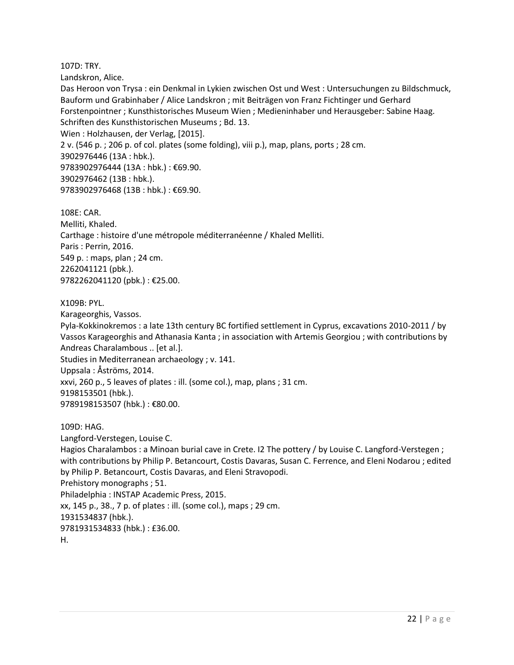107D: TRY.

Landskron, Alice.

Das Heroon von Trysa : ein Denkmal in Lykien zwischen Ost und West : Untersuchungen zu Bildschmuck, Bauform und Grabinhaber / Alice Landskron ; mit Beiträgen von Franz Fichtinger und Gerhard Forstenpointner ; Kunsthistorisches Museum Wien ; Medieninhaber und Herausgeber: Sabine Haag. Schriften des Kunsthistorischen Museums ; Bd. 13. Wien : Holzhausen, der Verlag, [2015]. 2 v. (546 p. ; 206 p. of col. plates (some folding), viii p.), map, plans, ports ; 28 cm. 3902976446 (13A : hbk.). 9783902976444 (13A : hbk.) : €69.90. 3902976462 (13B : hbk.). 9783902976468 (13B : hbk.) : €69.90.

108E: CAR. Melliti, Khaled. Carthage : histoire d'une métropole méditerranéenne / Khaled Melliti. Paris : Perrin, 2016. 549 p. : maps, plan ; 24 cm. 2262041121 (pbk.). 9782262041120 (pbk.) : €25.00.

#### X109B: PYL.

Karageorghis, Vassos.

Pyla-Kokkinokremos : a late 13th century BC fortified settlement in Cyprus, excavations 2010-2011 / by Vassos Karageorghis and Athanasia Kanta ; in association with Artemis Georgiou ; with contributions by Andreas Charalambous .. [et al.].

Studies in Mediterranean archaeology ; v. 141. Uppsala : Åströms, 2014.

xxvi, 260 p., 5 leaves of plates : ill. (some col.), map, plans ; 31 cm. 9198153501 (hbk.).

9789198153507 (hbk.) : €80.00.

109D: HAG.

Langford-Verstegen, Louise C. Hagios Charalambos : a Minoan burial cave in Crete. 12 The pottery / by Louise C. Langford-Verstegen ; with contributions by Philip P. Betancourt, Costis Davaras, Susan C. Ferrence, and Eleni Nodarou ; edited by Philip P. Betancourt, Costis Davaras, and Eleni Stravopodi. Prehistory monographs ; 51. Philadelphia : INSTAP Academic Press, 2015. xx, 145 p., 38., 7 p. of plates : ill. (some col.), maps ; 29 cm. 1931534837 (hbk.). 9781931534833 (hbk.) : £36.00. H.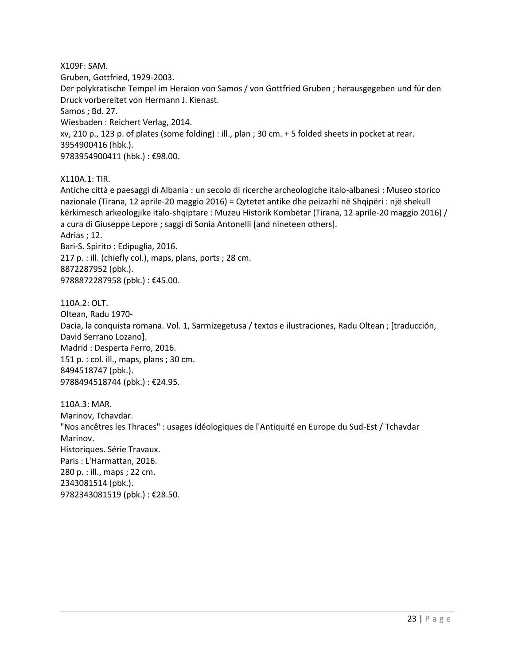X109F: SAM. Gruben, Gottfried, 1929-2003. Der polykratische Tempel im Heraion von Samos / von Gottfried Gruben ; herausgegeben und für den Druck vorbereitet von Hermann J. Kienast. Samos ; Bd. 27. Wiesbaden : Reichert Verlag, 2014. xv, 210 p., 123 p. of plates (some folding) : ill., plan ; 30 cm. + 5 folded sheets in pocket at rear. 3954900416 (hbk.). 9783954900411 (hbk.) : €98.00.

X110A.1: TIR.

Antiche città e paesaggi di Albania : un secolo di ricerche archeologiche italo-albanesi : Museo storico nazionale (Tirana, 12 aprile-20 maggio 2016) = Qytetet antike dhe peizazhi në Shqipëri : një shekull kërkimesch arkeologjike italo-shqiptare : Muzeu Historik Kombëtar (Tirana, 12 aprile-20 maggio 2016) / a cura di Giuseppe Lepore ; saggi di Sonia Antonelli [and nineteen others]. Adrias ; 12.

Bari-S. Spirito : Edipuglia, 2016. 217 p. : ill. (chiefly col.), maps, plans, ports ; 28 cm. 8872287952 (pbk.). 9788872287958 (pbk.) : €45.00.

110A.2: OLT. Oltean, Radu 1970- Dacia, la conquista romana. Vol. 1, Sarmizegetusa / textos e ilustraciones, Radu Oltean ; [traducción, David Serrano Lozano]. Madrid : Desperta Ferro, 2016. 151 p. : col. ill., maps, plans ; 30 cm. 8494518747 (pbk.). 9788494518744 (pbk.) : €24.95.

110A.3: MAR. Marinov, Tchavdar. "Nos ancêtres les Thraces" : usages idéologiques de l'Antiquité en Europe du Sud-Est / Tchavdar Marinov. Historiques. Série Travaux. Paris : L'Harmattan, 2016. 280 p. : ill., maps ; 22 cm. 2343081514 (pbk.). 9782343081519 (pbk.) : €28.50.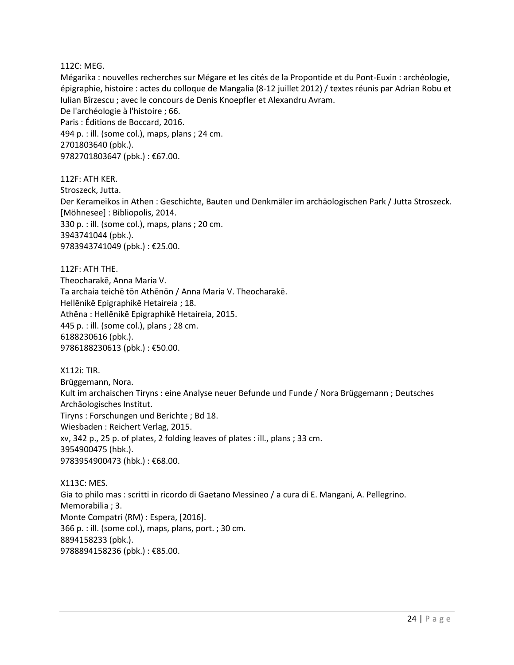#### 112C: MEG.

Mégarika : nouvelles recherches sur Mégare et les cités de la Propontide et du Pont-Euxin : archéologie, épigraphie, histoire : actes du colloque de Mangalia (8-12 juillet 2012) / textes réunis par Adrian Robu et Iulian Bîrzescu ; avec le concours de Denis Knoepfler et Alexandru Avram. De l'archéologie à l'histoire ; 66. Paris : Éditions de Boccard, 2016. 494 p. : ill. (some col.), maps, plans ; 24 cm. 2701803640 (pbk.). 9782701803647 (pbk.) : €67.00.

112F: ATH KER. Stroszeck, Jutta. Der Kerameikos in Athen : Geschichte, Bauten und Denkmäler im archäologischen Park / Jutta Stroszeck. [Möhnesee] : Bibliopolis, 2014. 330 p. : ill. (some col.), maps, plans ; 20 cm. 3943741044 (pbk.). 9783943741049 (pbk.) : €25.00.

112F: ATH THE. Theocharakē, Anna Maria V. Ta archaia teichē tōn Athēnōn / Anna Maria V. Theocharakē. Hellēnikē Epigraphikē Hetaireia ; 18. Athēna : Hellēnikē Epigraphikē Hetaireia, 2015. 445 p. : ill. (some col.), plans ; 28 cm. 6188230616 (pbk.). 9786188230613 (pbk.) : €50.00.

X112i: TIR. Brüggemann, Nora. Kult im archaischen Tiryns : eine Analyse neuer Befunde und Funde / Nora Brüggemann ; Deutsches Archäologisches Institut. Tiryns : Forschungen und Berichte ; Bd 18. Wiesbaden : Reichert Verlag, 2015. xv, 342 p., 25 p. of plates, 2 folding leaves of plates : ill., plans ; 33 cm. 3954900475 (hbk.). 9783954900473 (hbk.) : €68.00.

X113C: MES. Gia to philo mas : scritti in ricordo di Gaetano Messineo / a cura di E. Mangani, A. Pellegrino. Memorabilia ; 3. Monte Compatri (RM) : Espera, [2016]. 366 p. : ill. (some col.), maps, plans, port. ; 30 cm. 8894158233 (pbk.). 9788894158236 (pbk.) : €85.00.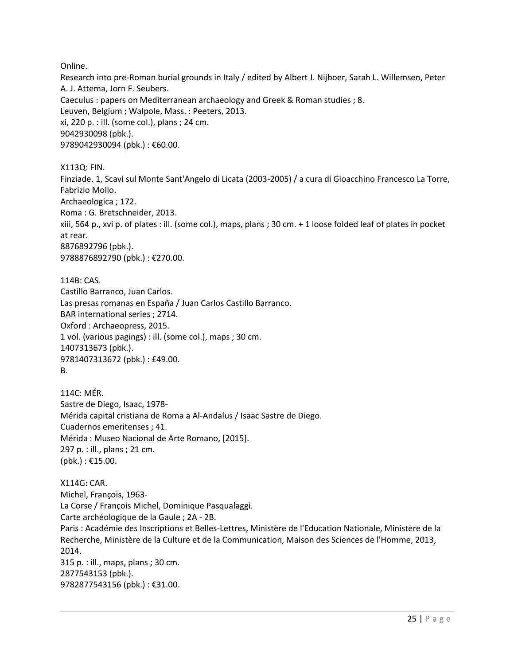Online.

Research into pre-Roman burial grounds in Italy / edited by Albert J. Nijboer, Sarah L. Willemsen, Peter A. J. Attema, Jorn F. Seubers. Caeculus : papers on Mediterranean archaeology and Greek & Roman studies ; 8. Leuven, Belgium ; Walpole, Mass. : Peeters, 2013. xi, 220 p. : ill. (some col.), plans ; 24 cm. 9042930098 (pbk.). 9789042930094 (pbk.): €60.00.

X113Q: FIN.

Finziade. 1, Scavi sul Monte Sant'Angelo di Licata (2003-2005) / a cura di Gioacchino Francesco La Torre, Fabrizio Mollo. Archaeologica ; 172. Roma : G. Bretschneider, 2013. xiii, 564 p., xvi p. of plates : ill. (some col.), maps, plans ; 30 cm. + 1 loose folded leaf of plates in pocket at rear. 8876892796 (pbk.). 9788876892790 (pbk.) : €270.00.

114B: CAS. Castillo Barranco, Juan Carlos. Las presas romanas en España / Juan Carlos Castillo Barranco. BAR international series ; 2714. Oxford : Archaeopress, 2015. 1 vol. (various pagings) : ill. (some col.), maps ; 30 cm. 1407313673 (pbk.). 9781407313672 (pbk.) : £49.00. B.

114C: MÉR. Sastre de Diego, Isaac, 1978- Mérida capital cristiana de Roma a Al-Andalus / Isaac Sastre de Diego. Cuadernos emeritenses ; 41. Mérida : Museo Nacional de Arte Romano, [2015]. 297 p. : ill., plans ; 21 cm.  $(pbk.)$ : €15.00.

X114G: CAR. Michel, François, 1963- La Corse / François Michel, Dominique Pasqualaggi. Carte archéologique de la Gaule ; 2A - 2B. Paris : Académie des Inscriptions et Belles-Lettres, Ministère de l'Education Nationale, Ministère de la Recherche, Ministère de la Culture et de la Communication, Maison des Sciences de l'Homme, 2013, 2014. 315 p. : ill., maps, plans ; 30 cm. 2877543153 (pbk.). 9782877543156 (pbk.) : €31.00.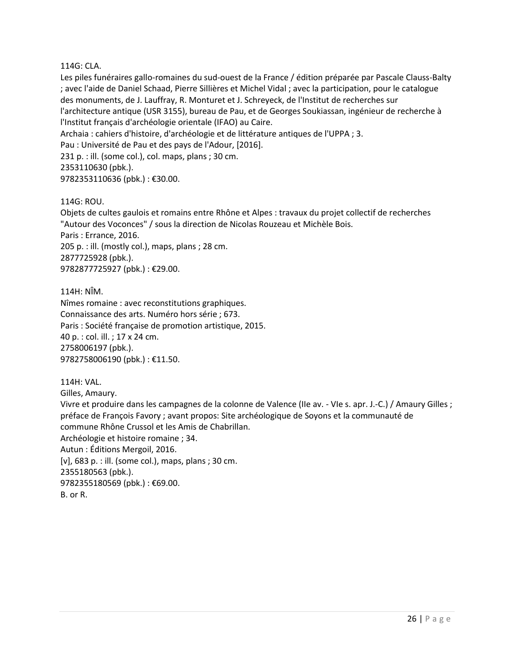#### 114G: CLA.

Les piles funéraires gallo-romaines du sud-ouest de la France / édition préparée par Pascale Clauss-Balty ; avec l'aide de Daniel Schaad, Pierre Sillières et Michel Vidal ; avec la participation, pour le catalogue des monuments, de J. Lauffray, R. Monturet et J. Schreyeck, de l'Institut de recherches sur l'architecture antique (USR 3155), bureau de Pau, et de Georges Soukiassan, ingénieur de recherche à l'Institut français d'archéologie orientale (IFAO) au Caire. Archaia : cahiers d'histoire, d'archéologie et de littérature antiques de l'UPPA ; 3. Pau : Université de Pau et des pays de l'Adour, [2016]. 231 p. : ill. (some col.), col. maps, plans ; 30 cm.

2353110630 (pbk.).

9782353110636 (pbk.) : €30.00.

114G: ROU.

Objets de cultes gaulois et romains entre Rhône et Alpes : travaux du projet collectif de recherches "Autour des Voconces" / sous la direction de Nicolas Rouzeau et Michèle Bois. Paris : Errance, 2016.

205 p. : ill. (mostly col.), maps, plans ; 28 cm. 2877725928 (pbk.).

9782877725927 (pbk.) : €29.00.

114H: NÎM. Nîmes romaine : avec reconstitutions graphiques. Connaissance des arts. Numéro hors série ; 673. Paris : Société française de promotion artistique, 2015. 40 p. : col. ill. ; 17 x 24 cm. 2758006197 (pbk.). 9782758006190 (pbk.) : €11.50.

114H: VAL. Gilles, Amaury. Vivre et produire dans les campagnes de la colonne de Valence (IIe av. - VIe s. apr. J.-C.) / Amaury Gilles ; préface de François Favory ; avant propos: Site archéologique de Soyons et la communauté de commune Rhône Crussol et les Amis de Chabrillan. Archéologie et histoire romaine ; 34. Autun : Éditions Mergoil, 2016. [v], 683 p. : ill. (some col.), maps, plans ; 30 cm. 2355180563 (pbk.). 9782355180569 (pbk.) : €69.00. B. or R.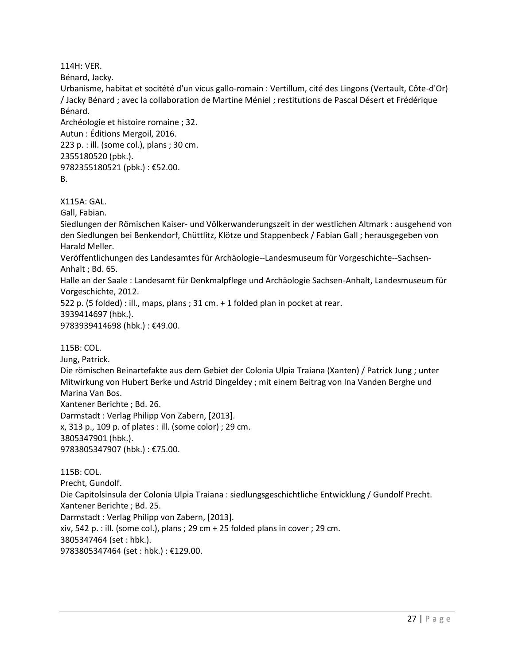114H: VER.

Bénard, Jacky.

Urbanisme, habitat et socitété d'un vicus gallo-romain : Vertillum, cité des Lingons (Vertault, Côte-d'Or) / Jacky Bénard ; avec la collaboration de Martine Méniel ; restitutions de Pascal Désert et Frédérique Bénard.

Archéologie et histoire romaine ; 32. Autun : Éditions Mergoil, 2016. 223 p. : ill. (some col.), plans ; 30 cm. 2355180520 (pbk.). 9782355180521 (pbk.) : €52.00. B.

X115A: GAL.

Gall, Fabian.

Siedlungen der Römischen Kaiser- und Völkerwanderungszeit in der westlichen Altmark : ausgehend von den Siedlungen bei Benkendorf, Chüttlitz, Klötze und Stappenbeck / Fabian Gall ; herausgegeben von Harald Meller.

Veröffentlichungen des Landesamtes für Archäologie--Landesmuseum für Vorgeschichte--Sachsen-Anhalt ; Bd. 65.

Halle an der Saale : Landesamt für Denkmalpflege und Archäologie Sachsen-Anhalt, Landesmuseum für Vorgeschichte, 2012.

522 p. (5 folded) : ill., maps, plans ; 31 cm. + 1 folded plan in pocket at rear. 3939414697 (hbk.).

9783939414698 (hbk.) : €49.00.

115B: COL. Jung, Patrick. Die römischen Beinartefakte aus dem Gebiet der Colonia Ulpia Traiana (Xanten) / Patrick Jung ; unter Mitwirkung von Hubert Berke und Astrid Dingeldey ; mit einem Beitrag von Ina Vanden Berghe und Marina Van Bos. Xantener Berichte ; Bd. 26. Darmstadt : Verlag Philipp Von Zabern, [2013]. x, 313 p., 109 p. of plates : ill. (some color) ; 29 cm. 3805347901 (hbk.). 9783805347907 (hbk.) : €75.00.

115B: COL. Precht, Gundolf. Die Capitolsinsula der Colonia Ulpia Traiana : siedlungsgeschichtliche Entwicklung / Gundolf Precht. Xantener Berichte ; Bd. 25. Darmstadt : Verlag Philipp von Zabern, [2013]. xiv, 542 p. : ill. (some col.), plans ; 29 cm + 25 folded plans in cover ; 29 cm. 3805347464 (set : hbk.). 9783805347464 (set : hbk.) : €129.00.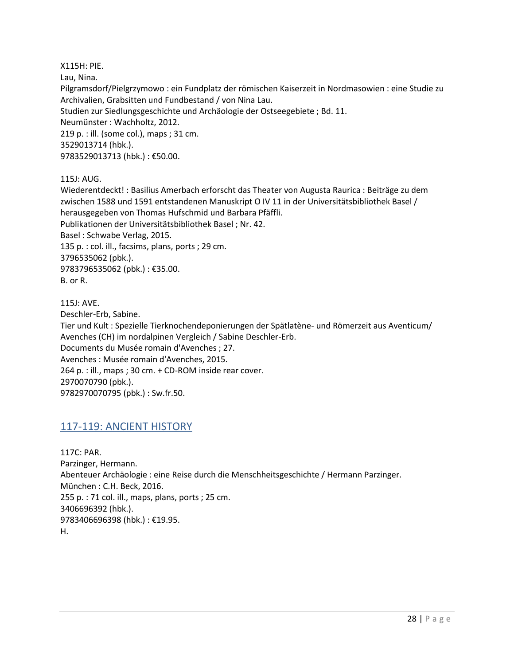X115H: PIE.

Lau, Nina.

Pilgramsdorf/Pielgrzymowo : ein Fundplatz der römischen Kaiserzeit in Nordmasowien : eine Studie zu Archivalien, Grabsitten und Fundbestand / von Nina Lau. Studien zur Siedlungsgeschichte und Archäologie der Ostseegebiete ; Bd. 11. Neumünster : Wachholtz, 2012. 219 p. : ill. (some col.), maps ; 31 cm. 3529013714 (hbk.). 9783529013713 (hbk.) : €50.00.

115J: AUG.

Wiederentdeckt! : Basilius Amerbach erforscht das Theater von Augusta Raurica : Beiträge zu dem zwischen 1588 und 1591 entstandenen Manuskript O IV 11 in der Universitätsbibliothek Basel / herausgegeben von Thomas Hufschmid und Barbara Pfäffli. Publikationen der Universitätsbibliothek Basel ; Nr. 42. Basel : Schwabe Verlag, 2015. 135 p. : col. ill., facsims, plans, ports ; 29 cm. 3796535062 (pbk.). 9783796535062 (pbk.) : €35.00. B. or R. 115J: AVE.

Deschler-Erb, Sabine.

Tier und Kult : Spezielle Tierknochendeponierungen der Spätlatène- und Römerzeit aus Aventicum/ Avenches (CH) im nordalpinen Vergleich / Sabine Deschler-Erb.

Documents du Musée romain d'Avenches ; 27.

Avenches : Musée romain d'Avenches, 2015.

264 p. : ill., maps ; 30 cm. + CD-ROM inside rear cover. 2970070790 (pbk.).

<span id="page-27-0"></span>9782970070795 (pbk.) : Sw.fr.50.

#### 117-119: ANCIENT HISTORY

117C: PAR. Parzinger, Hermann. Abenteuer Archäologie : eine Reise durch die Menschheitsgeschichte / Hermann Parzinger. München : C.H. Beck, 2016. 255 p. : 71 col. ill., maps, plans, ports ; 25 cm. 3406696392 (hbk.). 9783406696398 (hbk.) : €19.95. H.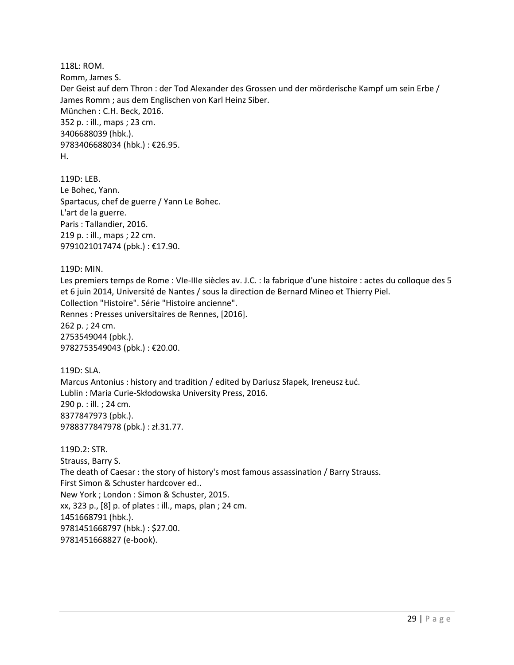118L: ROM. Romm, James S. Der Geist auf dem Thron : der Tod Alexander des Grossen und der mörderische Kampf um sein Erbe / James Romm ; aus dem Englischen von Karl Heinz Siber. München : C.H. Beck, 2016. 352 p. : ill., maps ; 23 cm. 3406688039 (hbk.). 9783406688034 (hbk.) : €26.95. H.

119D: LEB. Le Bohec, Yann. Spartacus, chef de guerre / Yann Le Bohec. L'art de la guerre. Paris : Tallandier, 2016. 219 p. : ill., maps ; 22 cm. 9791021017474 (pbk.) : €17.90.

119D: MIN. Les premiers temps de Rome : VIe-IIIe siècles av. J.C. : la fabrique d'une histoire : actes du colloque des 5 et 6 juin 2014, Université de Nantes / sous la direction de Bernard Mineo et Thierry Piel. Collection "Histoire". Série "Histoire ancienne". Rennes : Presses universitaires de Rennes, [2016]. 262 p. ; 24 cm. 2753549044 (pbk.). 9782753549043 (pbk.) : €20.00.

119D: SLA. Marcus Antonius : history and tradition / edited by Dariusz Słapek, Ireneusz Łuć. Lublin : Maria Curie-Skłodowska University Press, 2016. 290 p. : ill. ; 24 cm. 8377847973 (pbk.). 9788377847978 (pbk.) : zł.31.77.

119D.2: STR. Strauss, Barry S. The death of Caesar : the story of history's most famous assassination / Barry Strauss. First Simon & Schuster hardcover ed.. New York ; London : Simon & Schuster, 2015. xx, 323 p., [8] p. of plates : ill., maps, plan ; 24 cm. 1451668791 (hbk.). 9781451668797 (hbk.) : \$27.00. 9781451668827 (e-book).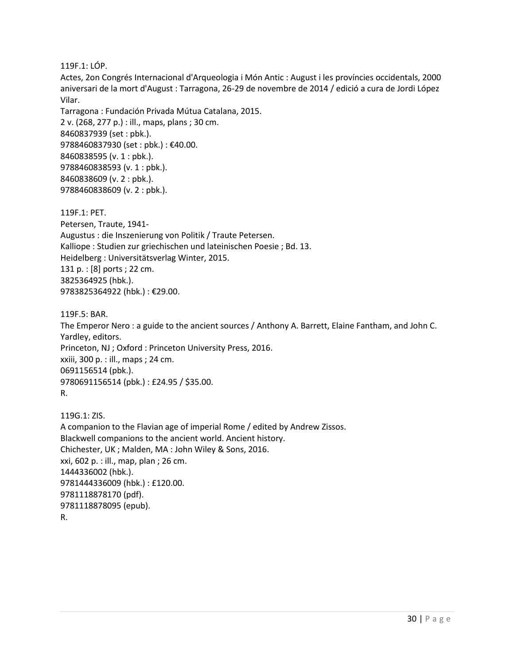119F.1: LÓP.

Actes, 2on Congrés Internacional d'Arqueologia i Món Antic : August i les províncies occidentals, 2000 aniversari de la mort d'August : Tarragona, 26-29 de novembre de 2014 / edició a cura de Jordi López Vilar.

Tarragona : Fundación Privada Mútua Catalana, 2015. 2 v. (268, 277 p.) : ill., maps, plans ; 30 cm. 8460837939 (set : pbk.). 9788460837930 (set : pbk.) : €40.00. 8460838595 (v. 1 : pbk.). 9788460838593 (v. 1 : pbk.). 8460838609 (v. 2 : pbk.). 9788460838609 (v. 2 : pbk.).

119F.1: PET. Petersen, Traute, 1941- Augustus : die Inszenierung von Politik / Traute Petersen. Kalliope : Studien zur griechischen und lateinischen Poesie ; Bd. 13. Heidelberg : Universitätsverlag Winter, 2015. 131 p. : [8] ports ; 22 cm. 3825364925 (hbk.). 9783825364922 (hbk.) : €29.00.

119F.5: BAR. The Emperor Nero : a guide to the ancient sources / Anthony A. Barrett, Elaine Fantham, and John C. Yardley, editors. Princeton, NJ ; Oxford : Princeton University Press, 2016. xxiii, 300 p. : ill., maps ; 24 cm. 0691156514 (pbk.). 9780691156514 (pbk.) : £24.95 / \$35.00. R.

119G.1: ZIS. A companion to the Flavian age of imperial Rome / edited by Andrew Zissos. Blackwell companions to the ancient world. Ancient history. Chichester, UK ; Malden, MA : John Wiley & Sons, 2016. xxi, 602 p. : ill., map, plan ; 26 cm. 1444336002 (hbk.). 9781444336009 (hbk.) : £120.00. 9781118878170 (pdf). 9781118878095 (epub). R.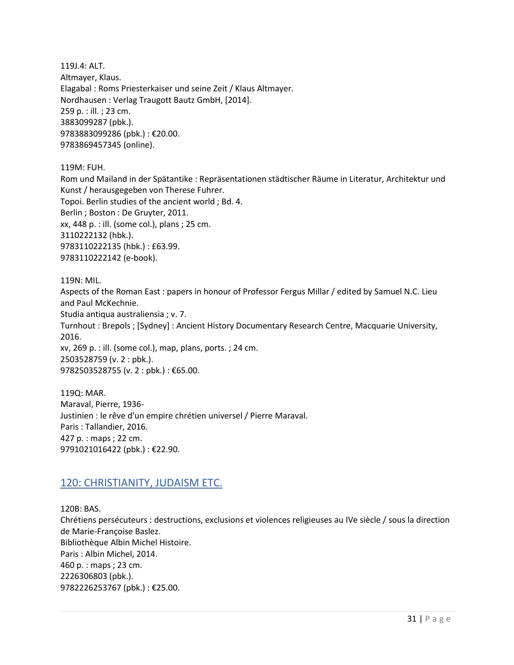119J.4: ALT. Altmayer, Klaus. Elagabal : Roms Priesterkaiser und seine Zeit / Klaus Altmayer. Nordhausen : Verlag Traugott Bautz GmbH, [2014]. 259 p. : ill. ; 23 cm. 3883099287 (pbk.). 9783883099286 (pbk.) : €20.00. 9783869457345 (online).

119M: FUH.

Rom und Mailand in der Spätantike : Repräsentationen städtischer Räume in Literatur, Architektur und Kunst / herausgegeben von Therese Fuhrer. Topoi. Berlin studies of the ancient world ; Bd. 4. Berlin ; Boston : De Gruyter, 2011. xx, 448 p. : ill. (some col.), plans ; 25 cm. 3110222132 (hbk.). 9783110222135 (hbk.) : £63.99. 9783110222142 (e-book).

119N: MIL. Aspects of the Roman East : papers in honour of Professor Fergus Millar / edited by Samuel N.C. Lieu and Paul McKechnie. Studia antiqua australiensia ; v. 7. Turnhout : Brepols ; [Sydney] : Ancient History Documentary Research Centre, Macquarie University, 2016. xv, 269 p. : ill. (some col.), map, plans, ports. ; 24 cm. 2503528759 (v. 2 : pbk.). 9782503528755 (v. 2 : pbk.) : €65.00.

119Q: MAR. Maraval, Pierre, 1936- Justinien : le rêve d'un empire chrétien universel / Pierre Maraval. Paris : Tallandier, 2016. 427 p. : maps ; 22 cm. 9791021016422 (pbk.) : €22.90.

#### <span id="page-30-0"></span>120: CHRISTIANITY, JUDAISM ETC.

120B: BAS. Chrétiens persécuteurs : destructions, exclusions et violences religieuses au IVe siècle / sous la direction de Marie-Françoise Baslez. Bibliothèque Albin Michel Histoire. Paris : Albin Michel, 2014. 460 p. : maps ; 23 cm. 2226306803 (pbk.). 9782226253767 (pbk.) : €25.00.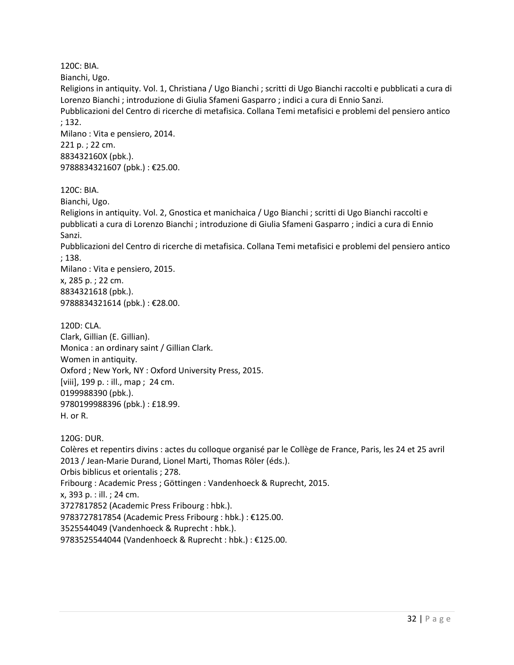120C: BIA.

Bianchi, Ugo.

Religions in antiquity. Vol. 1, Christiana / Ugo Bianchi ; scritti di Ugo Bianchi raccolti e pubblicati a cura di Lorenzo Bianchi ; introduzione di Giulia Sfameni Gasparro ; indici a cura di Ennio Sanzi.

Pubblicazioni del Centro di ricerche di metafisica. Collana Temi metafisici e problemi del pensiero antico ; 132.

Milano : Vita e pensiero, 2014. 221 p. ; 22 cm. 883432160X (pbk.). 9788834321607 (pbk.) : €25.00.

120C: BIA.

Bianchi, Ugo.

Religions in antiquity. Vol. 2, Gnostica et manichaica / Ugo Bianchi ; scritti di Ugo Bianchi raccolti e pubblicati a cura di Lorenzo Bianchi ; introduzione di Giulia Sfameni Gasparro ; indici a cura di Ennio Sanzi.

Pubblicazioni del Centro di ricerche di metafisica. Collana Temi metafisici e problemi del pensiero antico ; 138.

Milano : Vita e pensiero, 2015.

x, 285 p. ; 22 cm. 8834321618 (pbk.). 9788834321614 (pbk.) : €28.00.

120D: CLA.

Clark, Gillian (E. Gillian). Monica : an ordinary saint / Gillian Clark. Women in antiquity. Oxford ; New York, NY : Oxford University Press, 2015. [viii], 199 p. : ill., map ; 24 cm. 0199988390 (pbk.). 9780199988396 (pbk.) : £18.99. H. or R.

120G: DUR. Colères et repentirs divins : actes du colloque organisé par le Collège de France, Paris, les 24 et 25 avril 2013 / Jean-Marie Durand, Lionel Marti, Thomas Röler (éds.). Orbis biblicus et orientalis ; 278. Fribourg : Academic Press ; Göttingen : Vandenhoeck & Ruprecht, 2015. x, 393 p. : ill. ; 24 cm. 3727817852 (Academic Press Fribourg : hbk.). 9783727817854 (Academic Press Fribourg : hbk.) : €125.00. 3525544049 (Vandenhoeck & Ruprecht : hbk.). 9783525544044 (Vandenhoeck & Ruprecht : hbk.) : €125.00.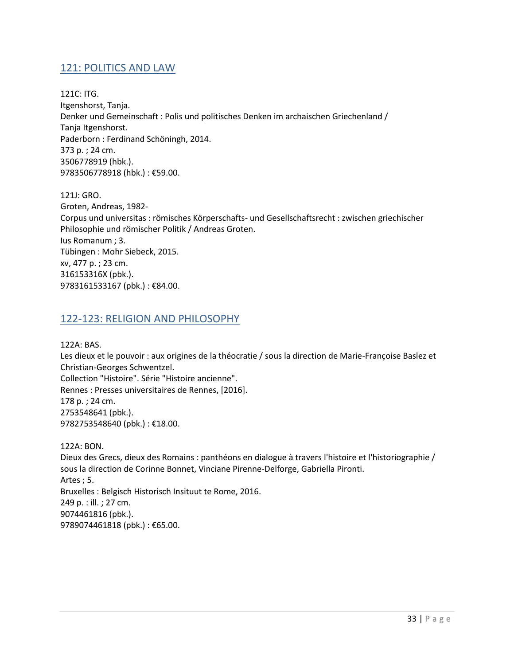## <span id="page-32-0"></span>121: POLITICS AND LAW

121C: ITG. Itgenshorst, Tanja. Denker und Gemeinschaft : Polis und politisches Denken im archaischen Griechenland / Tanja Itgenshorst. Paderborn : Ferdinand Schöningh, 2014. 373 p. ; 24 cm. 3506778919 (hbk.). 9783506778918 (hbk.) : €59.00.

121J: GRO. Groten, Andreas, 1982- Corpus und universitas : römisches Körperschafts- und Gesellschaftsrecht : zwischen griechischer Philosophie und römischer Politik / Andreas Groten. Ius Romanum ; 3. Tübingen : Mohr Siebeck, 2015. xv, 477 p. ; 23 cm. 316153316X (pbk.). 9783161533167 (pbk.): €84.00.

#### <span id="page-32-1"></span>122-123: RELIGION AND PHILOSOPHY

122A: BAS.

Les dieux et le pouvoir : aux origines de la théocratie / sous la direction de Marie-Françoise Baslez et Christian-Georges Schwentzel. Collection "Histoire". Série "Histoire ancienne". Rennes : Presses universitaires de Rennes, [2016]. 178 p. ; 24 cm. 2753548641 (pbk.).

9782753548640 (pbk.) : €18.00.

122A: BON. Dieux des Grecs, dieux des Romains : panthéons en dialogue à travers l'histoire et l'historiographie / sous la direction de Corinne Bonnet, Vinciane Pirenne-Delforge, Gabriella Pironti. Artes ; 5. Bruxelles : Belgisch Historisch Insituut te Rome, 2016. 249 p. : ill. ; 27 cm. 9074461816 (pbk.). 9789074461818 (pbk.) : €65.00.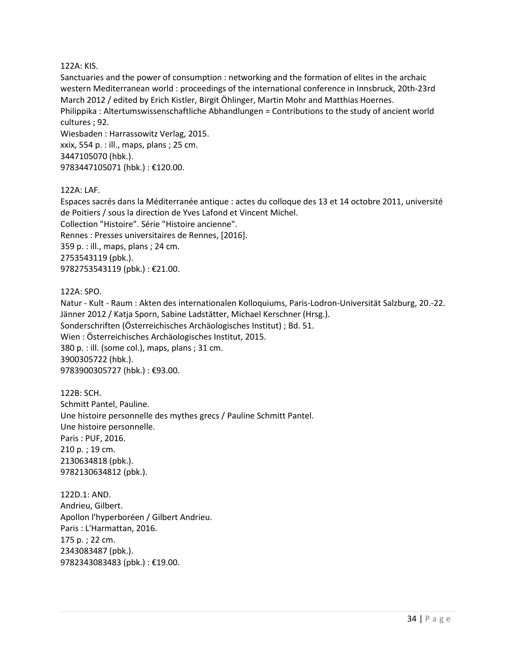#### 122A: KIS.

Sanctuaries and the power of consumption : networking and the formation of elites in the archaic western Mediterranean world : proceedings of the international conference in Innsbruck, 20th-23rd March 2012 / edited by Erich Kistler, Birgit Öhlinger, Martin Mohr and Matthias Hoernes. Philippika : Altertumswissenschaftliche Abhandlungen = Contributions to the study of ancient world cultures ; 92. Wiesbaden : Harrassowitz Verlag, 2015.

xxix, 554 p. : ill., maps, plans ; 25 cm. 3447105070 (hbk.). 9783447105071 (hbk.) : €120.00.

#### 122A: LAF.

Espaces sacrés dans la Méditerranée antique : actes du colloque des 13 et 14 octobre 2011, université de Poitiers / sous la direction de Yves Lafond et Vincent Michel. Collection "Histoire". Série "Histoire ancienne". Rennes : Presses universitaires de Rennes, [2016]. 359 p. : ill., maps, plans ; 24 cm. 2753543119 (pbk.). 9782753543119 (pbk.) : €21.00.

122A: SPO.

Natur - Kult - Raum : Akten des internationalen Kolloquiums, Paris-Lodron-Universität Salzburg, 20.-22. Jänner 2012 / Katja Sporn, Sabine Ladstätter, Michael Kerschner (Hrsg.). Sonderschriften (Österreichisches Archäologisches Institut) ; Bd. 51. Wien : Österreichisches Archäologisches Institut, 2015. 380 p. : ill. (some col.), maps, plans ; 31 cm. 3900305722 (hbk.). 9783900305727 (hbk.) : €93.00.

122B: SCH. Schmitt Pantel, Pauline. Une histoire personnelle des mythes grecs / Pauline Schmitt Pantel. Une histoire personnelle. Paris : PUF, 2016. 210 p. ; 19 cm. 2130634818 (pbk.). 9782130634812 (pbk.).

122D.1: AND. Andrieu, Gilbert. Apollon l'hyperboréen / Gilbert Andrieu. Paris : L'Harmattan, 2016. 175 p. ; 22 cm. 2343083487 (pbk.). 9782343083483 (pbk.) : €19.00.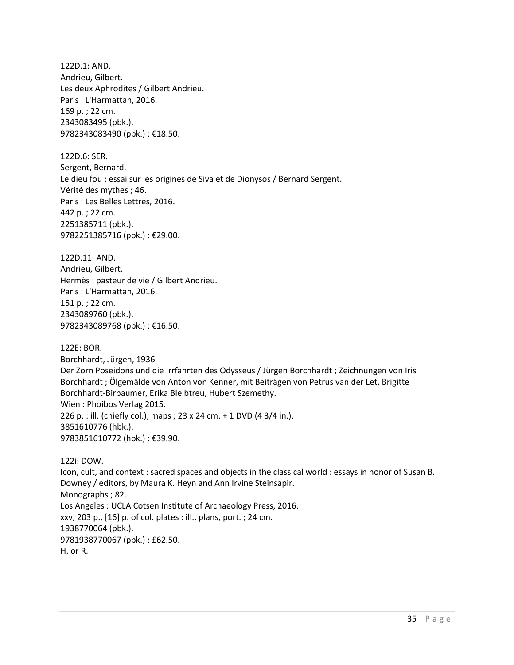122D.1: AND. Andrieu, Gilbert. Les deux Aphrodites / Gilbert Andrieu. Paris : L'Harmattan, 2016. 169 p. ; 22 cm. 2343083495 (pbk.). 9782343083490 (pbk.) : €18.50.

122D.6: SER. Sergent, Bernard. Le dieu fou : essai sur les origines de Siva et de Dionysos / Bernard Sergent. Vérité des mythes ; 46. Paris : Les Belles Lettres, 2016. 442 p. ; 22 cm. 2251385711 (pbk.). 9782251385716 (pbk.) : €29.00.

122D.11: AND. Andrieu, Gilbert. Hermès : pasteur de vie / Gilbert Andrieu. Paris : L'Harmattan, 2016. 151 p. ; 22 cm. 2343089760 (pbk.). 9782343089768 (pbk.) : €16.50.

122E: BOR. Borchhardt, Jürgen, 1936- Der Zorn Poseidons und die Irrfahrten des Odysseus / Jürgen Borchhardt ; Zeichnungen von Iris Borchhardt ; Ölgemälde von Anton von Kenner, mit Beiträgen von Petrus van der Let, Brigitte Borchhardt-Birbaumer, Erika Bleibtreu, Hubert Szemethy. Wien : Phoibos Verlag 2015. 226 p. : ill. (chiefly col.), maps ; 23 x 24 cm. + 1 DVD (4 3/4 in.). 3851610776 (hbk.). 9783851610772 (hbk.) : €39.90.

122i: DOW. Icon, cult, and context : sacred spaces and objects in the classical world : essays in honor of Susan B. Downey / editors, by Maura K. Heyn and Ann Irvine Steinsapir. Monographs ; 82. Los Angeles : UCLA Cotsen Institute of Archaeology Press, 2016. xxv, 203 p., [16] p. of col. plates : ill., plans, port. ; 24 cm. 1938770064 (pbk.). 9781938770067 (pbk.) : £62.50. H. or R.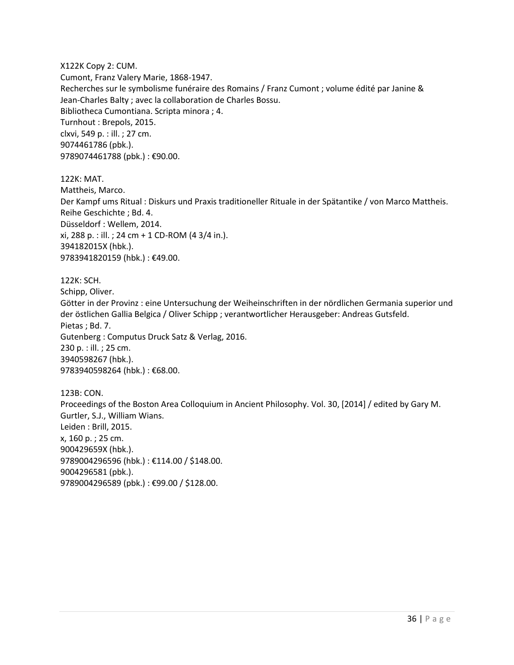X122K Copy 2: CUM. Cumont, Franz Valery Marie, 1868-1947. Recherches sur le symbolisme funéraire des Romains / Franz Cumont ; volume édité par Janine & Jean-Charles Balty ; avec la collaboration de Charles Bossu. Bibliotheca Cumontiana. Scripta minora ; 4. Turnhout : Brepols, 2015. clxvi, 549 p. : ill. ; 27 cm. 9074461786 (pbk.). 9789074461788 (pbk.) : €90.00.

122K: MAT. Mattheis, Marco. Der Kampf ums Ritual : Diskurs und Praxis traditioneller Rituale in der Spätantike / von Marco Mattheis. Reihe Geschichte ; Bd. 4. Düsseldorf : Wellem, 2014. xi, 288 p. : ill. ; 24 cm + 1 CD-ROM (4 3/4 in.). 394182015X (hbk.). 9783941820159 (hbk.) : €49.00.

122K: SCH. Schipp, Oliver. Götter in der Provinz : eine Untersuchung der Weiheinschriften in der nördlichen Germania superior und der östlichen Gallia Belgica / Oliver Schipp ; verantwortlicher Herausgeber: Andreas Gutsfeld. Pietas ; Bd. 7. Gutenberg : Computus Druck Satz & Verlag, 2016. 230 p. : ill. ; 25 cm. 3940598267 (hbk.). 9783940598264 (hbk.) : €68.00.

123B: CON. Proceedings of the Boston Area Colloquium in Ancient Philosophy. Vol. 30, [2014] / edited by Gary M. Gurtler, S.J., William Wians. Leiden : Brill, 2015. x, 160 p. ; 25 cm. 900429659X (hbk.). 9789004296596 (hbk.) : €114.00 / \$148.00. 9004296581 (pbk.). 9789004296589 (pbk.) : €99.00 / \$128.00.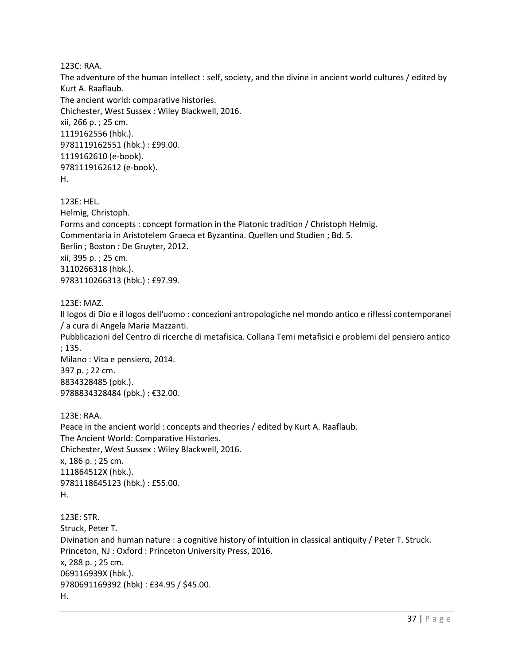123C: RAA.

The adventure of the human intellect : self, society, and the divine in ancient world cultures / edited by Kurt A. Raaflaub. The ancient world: comparative histories. Chichester, West Sussex : Wiley Blackwell, 2016. xii, 266 p. ; 25 cm. 1119162556 (hbk.). 9781119162551 (hbk.) : £99.00. 1119162610 (e-book). 9781119162612 (e-book). H.

123E: HEL. Helmig, Christoph. Forms and concepts : concept formation in the Platonic tradition / Christoph Helmig. Commentaria in Aristotelem Graeca et Byzantina. Quellen und Studien ; Bd. 5. Berlin ; Boston : De Gruyter, 2012. xii, 395 p. ; 25 cm. 3110266318 (hbk.). 9783110266313 (hbk.) : £97.99.

#### 123E: MAZ.

Il logos di Dio e il logos dell'uomo : concezioni antropologiche nel mondo antico e riflessi contemporanei / a cura di Angela Maria Mazzanti. Pubblicazioni del Centro di ricerche di metafisica. Collana Temi metafisici e problemi del pensiero antico ; 135. Milano : Vita e pensiero, 2014. 397 p. ; 22 cm. 8834328485 (pbk.). 9788834328484 (pbk.) : €32.00. 123E: RAA. Peace in the ancient world : concepts and theories / edited by Kurt A. Raaflaub. The Ancient World: Comparative Histories. Chichester, West Sussex : Wiley Blackwell, 2016. x, 186 p. ; 25 cm. 111864512X (hbk.). 9781118645123 (hbk.) : £55.00. H. 123E: STR. Struck, Peter T. Divination and human nature : a cognitive history of intuition in classical antiquity / Peter T. Struck. Princeton, NJ : Oxford : Princeton University Press, 2016. x, 288 p. ; 25 cm.

069116939X (hbk.). 9780691169392 (hbk) : £34.95 / \$45.00.

H.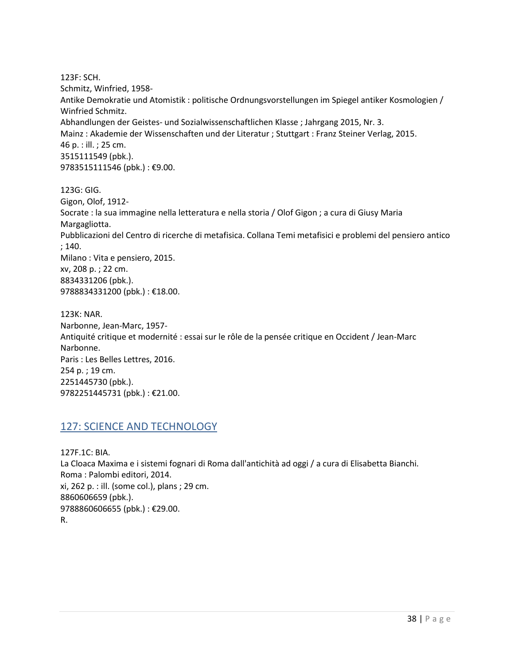123F: SCH. Schmitz, Winfried, 1958- Antike Demokratie und Atomistik : politische Ordnungsvorstellungen im Spiegel antiker Kosmologien / Winfried Schmitz. Abhandlungen der Geistes- und Sozialwissenschaftlichen Klasse ; Jahrgang 2015, Nr. 3. Mainz : Akademie der Wissenschaften und der Literatur ; Stuttgart : Franz Steiner Verlag, 2015. 46 p. : ill. ; 25 cm. 3515111549 (pbk.). 9783515111546 (pbk.) : €9.00.

123G: GIG. Gigon, Olof, 1912- Socrate : la sua immagine nella letteratura e nella storia / Olof Gigon ; a cura di Giusy Maria Margagliotta. Pubblicazioni del Centro di ricerche di metafisica. Collana Temi metafisici e problemi del pensiero antico ; 140. Milano : Vita e pensiero, 2015. xv, 208 p. ; 22 cm. 8834331206 (pbk.). 9788834331200 (pbk.) : €18.00.

123K: NAR. Narbonne, Jean-Marc, 1957- Antiquité critique et modernité : essai sur le rôle de la pensée critique en Occident / Jean-Marc Narbonne. Paris : Les Belles Lettres, 2016. 254 p. ; 19 cm. 2251445730 (pbk.). 9782251445731 (pbk.) : €21.00.

#### <span id="page-37-0"></span>127: SCIENCE AND TECHNOLOGY

127F.1C: BIA. La Cloaca Maxima e i sistemi fognari di Roma dall'antichità ad oggi / a cura di Elisabetta Bianchi. Roma : Palombi editori, 2014. xi, 262 p. : ill. (some col.), plans ; 29 cm. 8860606659 (pbk.). 9788860606655 (pbk.) : €29.00. R.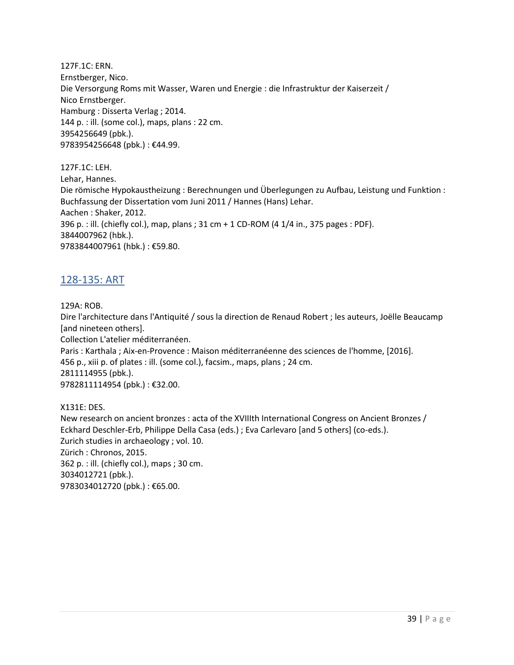127F.1C: ERN. Ernstberger, Nico. Die Versorgung Roms mit Wasser, Waren und Energie : die Infrastruktur der Kaiserzeit / Nico Ernstberger. Hamburg : Disserta Verlag ; 2014. 144 p. : ill. (some col.), maps, plans : 22 cm. 3954256649 (pbk.). 9783954256648 (pbk.) : €44.99.

127F.1C: LEH. Lehar, Hannes. Die römische Hypokaustheizung : Berechnungen und Überlegungen zu Aufbau, Leistung und Funktion : Buchfassung der Dissertation vom Juni 2011 / Hannes (Hans) Lehar. Aachen : Shaker, 2012. 396 p. : ill. (chiefly col.), map, plans ; 31 cm + 1 CD-ROM (4 1/4 in., 375 pages : PDF). 3844007962 (hbk.). 9783844007961 (hbk.) : €59.80.

## <span id="page-38-0"></span>128-135: ART

129A: ROB.

Dire l'architecture dans l'Antiquité / sous la direction de Renaud Robert ; les auteurs, Joëlle Beaucamp [and nineteen others]. Collection L'atelier méditerranéen. Paris : Karthala ; Aix-en-Provence : Maison méditerranéenne des sciences de l'homme, [2016]. 456 p., xiii p. of plates : ill. (some col.), facsim., maps, plans ; 24 cm. 2811114955 (pbk.). 9782811114954 (pbk.) : €32.00. X131E: DES. New research on ancient bronzes : acta of the XVIIIth International Congress on Ancient Bronzes / Eckhard Deschler-Erb, Philippe Della Casa (eds.) ; Eva Carlevaro [and 5 others] (co-eds.).

Zurich studies in archaeology ; vol. 10. Zürich : Chronos, 2015. 362 p. : ill. (chiefly col.), maps ; 30 cm. 3034012721 (pbk.). 9783034012720 (pbk.) : €65.00.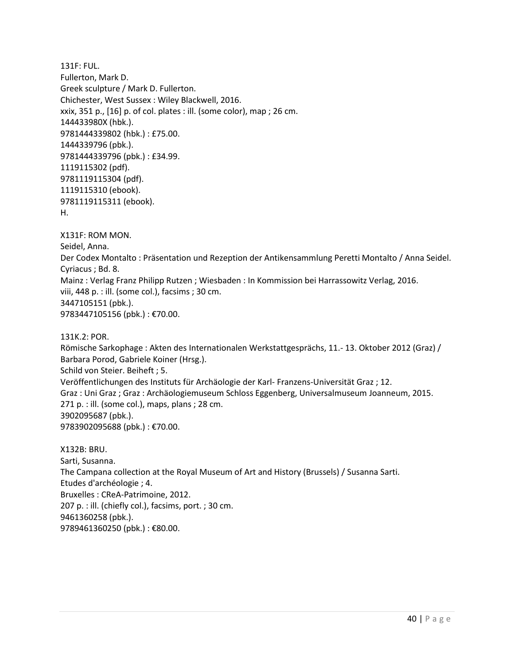131F: FUL. Fullerton, Mark D. Greek sculpture / Mark D. Fullerton. Chichester, West Sussex : Wiley Blackwell, 2016. xxix, 351 p., [16] p. of col. plates : ill. (some color), map ; 26 cm. 144433980X (hbk.). 9781444339802 (hbk.) : £75.00. 1444339796 (pbk.). 9781444339796 (pbk.) : £34.99. 1119115302 (pdf). 9781119115304 (pdf). 1119115310 (ebook). 9781119115311 (ebook). H.

X131F: ROM MON. Seidel, Anna. Der Codex Montalto : Präsentation und Rezeption der Antikensammlung Peretti Montalto / Anna Seidel. Cyriacus ; Bd. 8. Mainz : Verlag Franz Philipp Rutzen ; Wiesbaden : In Kommission bei Harrassowitz Verlag, 2016. viii, 448 p. : ill. (some col.), facsims ; 30 cm. 3447105151 (pbk.). 9783447105156 (pbk.) : €70.00.

131K.2: POR.

Römische Sarkophage : Akten des Internationalen Werkstattgesprächs, 11.- 13. Oktober 2012 (Graz) / Barbara Porod, Gabriele Koiner (Hrsg.).

Schild von Steier. Beiheft ; 5.

Veröffentlichungen des Instituts für Archäologie der Karl- Franzens-Universität Graz ; 12.

Graz : Uni Graz ; Graz : Archäologiemuseum Schloss Eggenberg, Universalmuseum Joanneum, 2015. 271 p. : ill. (some col.), maps, plans ; 28 cm. 3902095687 (pbk.).

9783902095688 (pbk.) : €70.00.

X132B: BRU. Sarti, Susanna. The Campana collection at the Royal Museum of Art and History (Brussels) / Susanna Sarti. Etudes d'archéologie ; 4. Bruxelles : CReA-Patrimoine, 2012. 207 p. : ill. (chiefly col.), facsims, port. ; 30 cm. 9461360258 (pbk.). 9789461360250 (pbk.) : €80.00.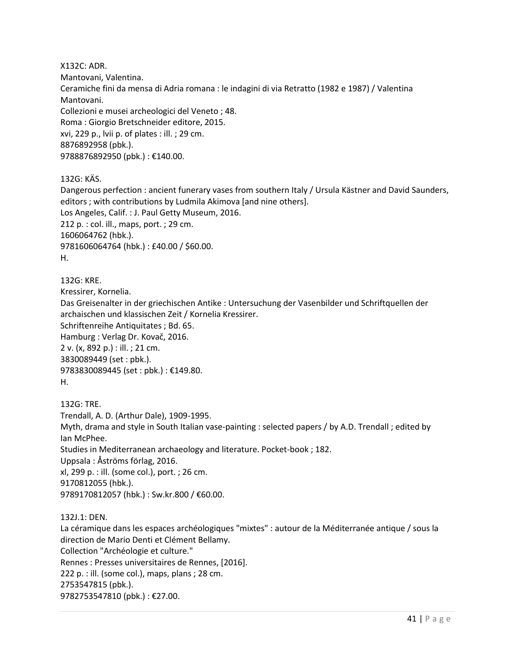X132C: ADR. Mantovani, Valentina. Ceramiche fini da mensa di Adria romana : le indagini di via Retratto (1982 e 1987) / Valentina Mantovani. Collezioni e musei archeologici del Veneto ; 48. Roma : Giorgio Bretschneider editore, 2015. xvi, 229 p., lvii p. of plates : ill. ; 29 cm. 8876892958 (pbk.). 9788876892950 (pbk.) : €140.00.

132G: KÄS.

Dangerous perfection : ancient funerary vases from southern Italy / Ursula Kästner and David Saunders, editors ; with contributions by Ludmila Akimova [and nine others]. Los Angeles, Calif. : J. Paul Getty Museum, 2016. 212 p. : col. ill., maps, port. ; 29 cm. 1606064762 (hbk.). 9781606064764 (hbk.) : £40.00 / \$60.00. H.

132G: KRE. Kressirer, Kornelia. Das Greisenalter in der griechischen Antike : Untersuchung der Vasenbilder und Schriftquellen der archaischen und klassischen Zeit / Kornelia Kressirer. Schriftenreihe Antiquitates ; Bd. 65. Hamburg : Verlag Dr. Kovač, 2016. 2 v. (x, 892 p.) : ill. ; 21 cm. 3830089449 (set : pbk.). 9783830089445 (set : pbk.) : €149.80. H.

132G: TRE. Trendall, A. D. (Arthur Dale), 1909-1995. Myth, drama and style in South Italian vase-painting : selected papers / by A.D. Trendall ; edited by Ian McPhee. Studies in Mediterranean archaeology and literature. Pocket-book ; 182. Uppsala : Åströms förlag, 2016. xl, 299 p. : ill. (some col.), port. ; 26 cm. 9170812055 (hbk.). 9789170812057 (hbk.) : Sw.kr.800 / €60.00.

132J.1: DEN.

La céramique dans les espaces archéologiques "mixtes" : autour de la Méditerranée antique / sous la direction de Mario Denti et Clément Bellamy. Collection "Archéologie et culture." Rennes : Presses universitaires de Rennes, [2016]. 222 p. : ill. (some col.), maps, plans ; 28 cm. 2753547815 (pbk.). 9782753547810 (pbk.) : €27.00.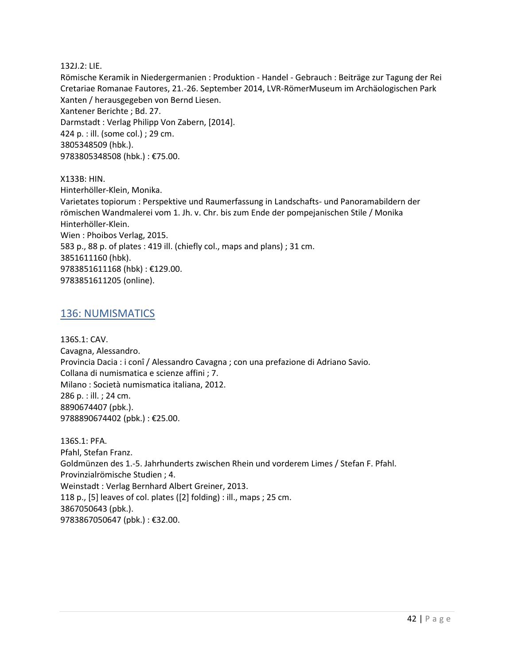132J.2: LIE.

Römische Keramik in Niedergermanien : Produktion - Handel - Gebrauch : Beiträge zur Tagung der Rei Cretariae Romanae Fautores, 21.-26. September 2014, LVR-RömerMuseum im Archäologischen Park Xanten / herausgegeben von Bernd Liesen. Xantener Berichte ; Bd. 27. Darmstadt : Verlag Philipp Von Zabern, [2014]. 424 p. : ill. (some col.) ; 29 cm. 3805348509 (hbk.). 9783805348508 (hbk.) : €75.00.

X133B: HIN. Hinterhöller-Klein, Monika. Varietates topiorum : Perspektive und Raumerfassung in Landschafts- und Panoramabildern der römischen Wandmalerei vom 1. Jh. v. Chr. bis zum Ende der pompejanischen Stile / Monika Hinterhöller-Klein. Wien : Phoibos Verlag, 2015. 583 p., 88 p. of plates : 419 ill. (chiefly col., maps and plans) ; 31 cm. 3851611160 (hbk). 9783851611168 (hbk) : €129.00. 9783851611205 (online).

#### <span id="page-41-0"></span>136: NUMISMATICS

136S.1: CAV. Cavagna, Alessandro. Provincia Dacia : i conî / Alessandro Cavagna ; con una prefazione di Adriano Savio. Collana di numismatica e scienze affini ; 7. Milano : Società numismatica italiana, 2012. 286 p. : ill. ; 24 cm. 8890674407 (pbk.). 9788890674402 (pbk.) : €25.00.

136S.1: PFA. Pfahl, Stefan Franz. Goldmünzen des 1.-5. Jahrhunderts zwischen Rhein und vorderem Limes / Stefan F. Pfahl. Provinzialrömische Studien ; 4. Weinstadt : Verlag Bernhard Albert Greiner, 2013. 118 p., [5] leaves of col. plates ([2] folding) : ill., maps ; 25 cm. 3867050643 (pbk.). 9783867050647 (pbk.) : €32.00.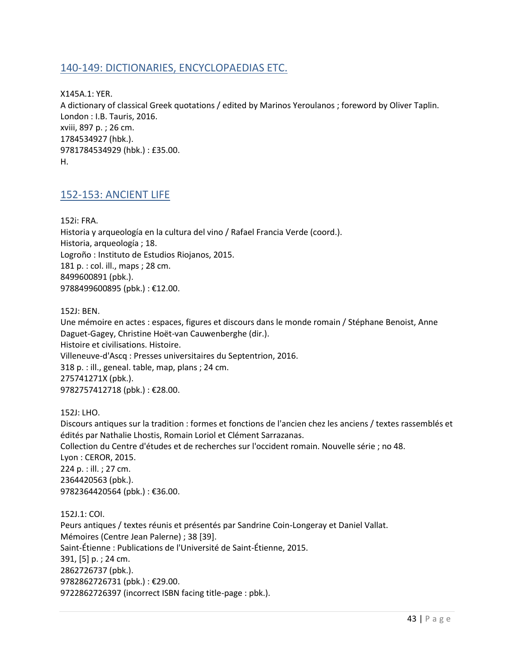## <span id="page-42-0"></span>140-149: DICTIONARIES, ENCYCLOPAEDIAS ETC.

X145A.1: YER. A dictionary of classical Greek quotations / edited by Marinos Yeroulanos ; foreword by Oliver Taplin. London : I.B. Tauris, 2016. xviii, 897 p. ; 26 cm. 1784534927 (hbk.). 9781784534929 (hbk.) : £35.00. H.

#### <span id="page-42-1"></span>152-153: ANCIENT LIFE

152i: FRA. Historia y arqueología en la cultura del vino / Rafael Francia Verde (coord.). Historia, arqueología ; 18. Logroño : Instituto de Estudios Riojanos, 2015. 181 p. : col. ill., maps ; 28 cm. 8499600891 (pbk.). 9788499600895 (pbk.) : €12.00.

152J: BEN.

Une mémoire en actes : espaces, figures et discours dans le monde romain / Stéphane Benoist, Anne Daguet-Gagey, Christine Hoët-van Cauwenberghe (dir.). Histoire et civilisations. Histoire. Villeneuve-d'Ascq : Presses universitaires du Septentrion, 2016. 318 p. : ill., geneal. table, map, plans ; 24 cm. 275741271X (pbk.). 9782757412718 (pbk.) : €28.00.

152J: LHO.

Discours antiques sur la tradition : formes et fonctions de l'ancien chez les anciens / textes rassemblés et édités par Nathalie Lhostis, Romain Loriol et Clément Sarrazanas. Collection du Centre d'études et de recherches sur l'occident romain. Nouvelle série ; no 48. Lyon : CEROR, 2015. 224 p. : ill. ; 27 cm. 2364420563 (pbk.). 9782364420564 (pbk.): €36.00.

152J.1: COI. Peurs antiques / textes réunis et présentés par Sandrine Coin-Longeray et Daniel Vallat. Mémoires (Centre Jean Palerne) ; 38 [39]. Saint-Étienne : Publications de l'Université de Saint-Étienne, 2015. 391, [5] p. ; 24 cm. 2862726737 (pbk.). 9782862726731 (pbk.) : €29.00. 9722862726397 (incorrect ISBN facing title-page : pbk.).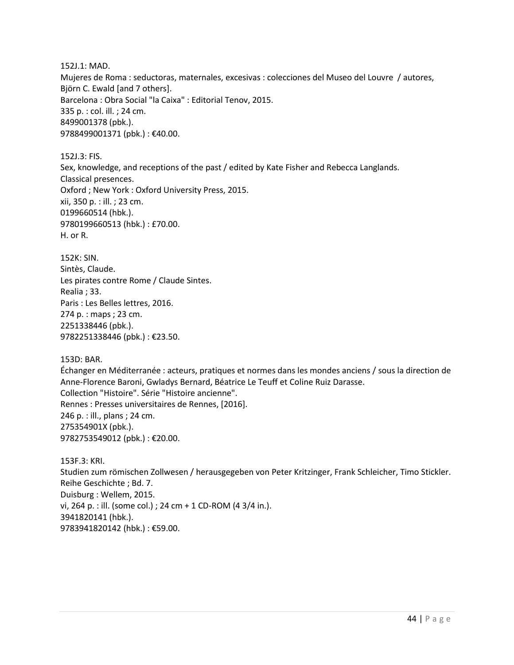152J.1: MAD. Mujeres de Roma : seductoras, maternales, excesivas : colecciones del Museo del Louvre / autores, Björn C. Ewald [and 7 others]. Barcelona : Obra Social "la Caixa" : Editorial Tenov, 2015. 335 p. : col. ill. ; 24 cm. 8499001378 (pbk.). 9788499001371 (pbk.) : €40.00.

152J.3: FIS. Sex, knowledge, and receptions of the past / edited by Kate Fisher and Rebecca Langlands. Classical presences. Oxford ; New York : Oxford University Press, 2015. xii, 350 p. : ill. ; 23 cm. 0199660514 (hbk.). 9780199660513 (hbk.) : £70.00. H. or R.

152K: SIN. Sintès, Claude. Les pirates contre Rome / Claude Sintes. Realia ; 33. Paris : Les Belles lettres, 2016. 274 p. : maps ; 23 cm. 2251338446 (pbk.). 9782251338446 (pbk.) : €23.50.

153D: BAR.

Échanger en Méditerranée : acteurs, pratiques et normes dans les mondes anciens / sous la direction de Anne-Florence Baroni, Gwladys Bernard, Béatrice Le Teuff et Coline Ruiz Darasse. Collection "Histoire". Série "Histoire ancienne". Rennes : Presses universitaires de Rennes, [2016]. 246 p. : ill., plans ; 24 cm. 275354901X (pbk.). 9782753549012 (pbk.) : €20.00.

153F.3: KRI. Studien zum römischen Zollwesen / herausgegeben von Peter Kritzinger, Frank Schleicher, Timo Stickler. Reihe Geschichte ; Bd. 7. Duisburg : Wellem, 2015. vi, 264 p. : ill. (some col.) ; 24 cm + 1 CD-ROM (4 3/4 in.). 3941820141 (hbk.). 9783941820142 (hbk.) : €59.00.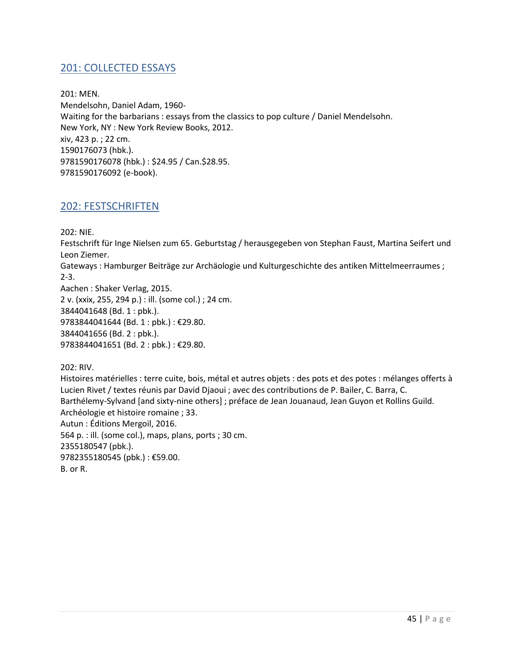## <span id="page-44-0"></span>201: COLLECTED ESSAYS

201: MEN. Mendelsohn, Daniel Adam, 1960- Waiting for the barbarians : essays from the classics to pop culture / Daniel Mendelsohn. New York, NY : New York Review Books, 2012. xiv, 423 p. ; 22 cm. 1590176073 (hbk.). 9781590176078 (hbk.) : \$24.95 / Can.\$28.95. 9781590176092 (e-book).

#### <span id="page-44-1"></span>202: FESTSCHRIFTEN

202: NIE.

Festschrift für Inge Nielsen zum 65. Geburtstag / herausgegeben von Stephan Faust, Martina Seifert und Leon Ziemer.

Gateways : Hamburger Beiträge zur Archäologie und Kulturgeschichte des antiken Mittelmeerraumes ; 2-3.

Aachen : Shaker Verlag, 2015. 2 v. (xxix, 255, 294 p.) : ill. (some col.) ; 24 cm. 3844041648 (Bd. 1 : pbk.). 9783844041644 (Bd. 1 : pbk.) : €29.80. 3844041656 (Bd. 2 : pbk.). 9783844041651 (Bd. 2 : pbk.) : €29.80.

202: RIV.

Histoires matérielles : terre cuite, bois, métal et autres objets : des pots et des potes : mélanges offerts à Lucien Rivet / textes réunis par David Djaoui ; avec des contributions de P. Bailer, C. Barra, C. Barthélemy-Sylvand [and sixty-nine others] ; préface de Jean Jouanaud, Jean Guyon et Rollins Guild. Archéologie et histoire romaine ; 33. Autun : Éditions Mergoil, 2016. 564 p. : ill. (some col.), maps, plans, ports ; 30 cm. 2355180547 (pbk.). 9782355180545 (pbk.) : €59.00. B. or R.